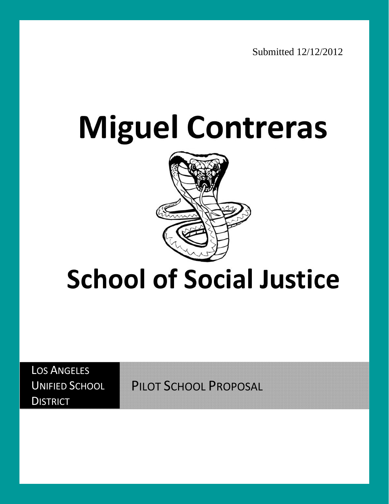# **Miguel Contreras**



## **School of Social Justice**

LOS ANGELES UNIFIED SCHOOL **DISTRICT** 

PILOT SCHOOL PROPOSAL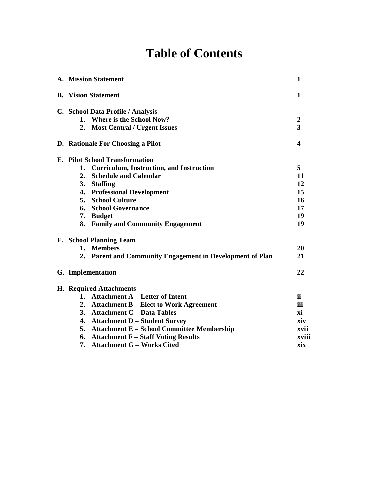## **Table of Contents**

| A. Mission Statement                                      | 1                |
|-----------------------------------------------------------|------------------|
| <b>B.</b> Vision Statement                                | 1                |
| C. School Data Profile / Analysis                         |                  |
| 1. Where is the School Now?                               | $\boldsymbol{2}$ |
| 2. Most Central / Urgent Issues                           | 3                |
| D. Rationale For Choosing a Pilot                         | 4                |
| <b>E.</b> Pilot School Transformation                     |                  |
| 1. Curriculum, Instruction, and Instruction               | 5                |
| <b>Schedule and Calendar</b><br>2.                        | 11               |
| 3. Staffing                                               | 12               |
| 4. Professional Development                               | 15               |
| <b>5. School Culture</b>                                  | 16               |
| <b>School Governance</b><br>6.                            | 17               |
| 7. Budget                                                 | 19               |
| 8. Family and Community Engagement                        | 19               |
| <b>F.</b> School Planning Team                            |                  |
| 1. Members                                                | 20               |
| 2. Parent and Community Engagement in Development of Plan | 21               |
| G. Implementation                                         | 22               |
| <b>H.</b> Required Attachments                            |                  |
| 1. Attachment A - Letter of Intent                        | ii.              |
| 2. Attachment B - Elect to Work Agreement                 | iii              |
| 3. Attachment C - Data Tables                             | хi               |
| 4. Attachment D - Student Survey                          | xiv              |
| <b>Attachment E - School Committee Membership</b><br>5.   | xvii             |
| 6. Attachment F - Staff Voting Results                    | xviii            |
| <b>Attachment G - Works Cited</b><br>7.                   | xix              |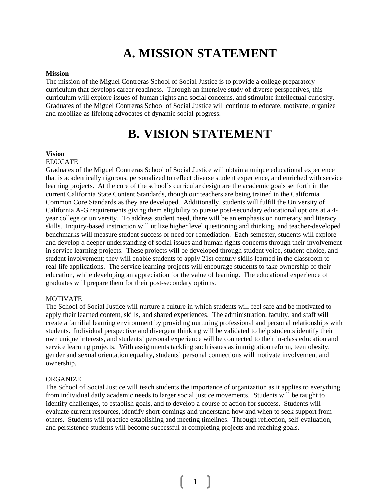## **A. MISSION STATEMENT**

#### **Mission**

The mission of the Miguel Contreras School of Social Justice is to provide a college preparatory curriculum that develops career readiness. Through an intensive study of diverse perspectives, this curriculum will explore issues of human rights and social concerns, and stimulate intellectual curiosity. Graduates of the Miguel Contreras School of Social Justice will continue to educate, motivate, organize and mobilize as lifelong advocates of dynamic social progress.

## **B. VISION STATEMENT**

#### **Vision**

#### EDUCATE

Graduates of the Miguel Contreras School of Social Justice will obtain a unique educational experience that is academically rigorous, personalized to reflect diverse student experience, and enriched with service learning projects. At the core of the school's curricular design are the academic goals set forth in the current California State Content Standards, though our teachers are being trained in the California Common Core Standards as they are developed. Additionally, students will fulfill the University of California A-G requirements giving them eligibility to pursue post-secondary educational options at a 4 year college or university. To address student need, there will be an emphasis on numeracy and literacy skills. Inquiry-based instruction will utilize higher level questioning and thinking, and teacher-developed benchmarks will measure student success or need for remediation. Each semester, students will explore and develop a deeper understanding of social issues and human rights concerns through their involvement in service learning projects. These projects will be developed through student voice, student choice, and student involvement; they will enable students to apply 21st century skills learned in the classroom to real-life applications. The service learning projects will encourage students to take ownership of their education, while developing an appreciation for the value of learning. The educational experience of graduates will prepare them for their post-secondary options.

#### MOTIVATE

The School of Social Justice will nurture a culture in which students will feel safe and be motivated to apply their learned content, skills, and shared experiences. The administration, faculty, and staff will create a familial learning environment by providing nurturing professional and personal relationships with students. Individual perspective and divergent thinking will be validated to help students identify their own unique interests, and students' personal experience will be connected to their in-class education and service learning projects. With assignments tackling such issues as immigration reform, teen obesity, gender and sexual orientation equality, students' personal connections will motivate involvement and ownership.

#### **ORGANIZE**

The School of Social Justice will teach students the importance of organization as it applies to everything from individual daily academic needs to larger social justice movements. Students will be taught to identify challenges, to establish goals, and to develop a course of action for success. Students will evaluate current resources, identify short-comings and understand how and when to seek support from others. Students will practice establishing and meeting timelines. Through reflection, self-evaluation, and persistence students will become successful at completing projects and reaching goals.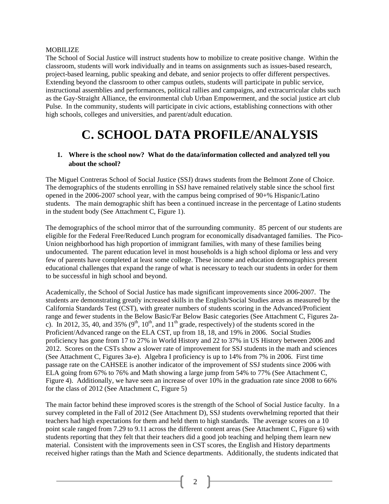#### MOBILIZE

The School of Social Justice will instruct students how to mobilize to create positive change. Within the classroom, students will work individually and in teams on assignments such as issues-based research, project-based learning, public speaking and debate, and senior projects to offer different perspectives. Extending beyond the classroom to other campus outlets, students will participate in public service, instructional assemblies and performances, political rallies and campaigns, and extracurricular clubs such as the Gay-Straight Alliance, the environmental club Urban Empowerment, and the social justice art club Pulse. In the community, students will participate in civic actions, establishing connections with other high schools, colleges and universities, and parent/adult education.

## **C. SCHOOL DATA PROFILE/ANALYSIS**

#### **1. Where is the school now? What do the data/information collected and analyzed tell you about the school?**

The Miguel Contreras School of Social Justice (SSJ) draws students from the Belmont Zone of Choice. The demographics of the students enrolling in SSJ have remained relatively stable since the school first opened in the 2006-2007 school year, with the campus being comprised of 90+% Hispanic/Latino students. The main demographic shift has been a continued increase in the percentage of Latino students in the student body (See Attachment C, Figure 1).

The demographics of the school mirror that of the surrounding community. 85 percent of our students are eligible for the Federal Free/Reduced Lunch program for economically disadvantaged families. The Pico-Union neighborhood has high proportion of immigrant families, with many of these families being undocumented. The parent education level in most households is a high school diploma or less and very few of parents have completed at least some college. These income and education demographics present educational challenges that expand the range of what is necessary to teach our students in order for them to be successful in high school and beyond.

Academically, the School of Social Justice has made significant improvements since 2006-2007. The students are demonstrating greatly increased skills in the English/Social Studies areas as measured by the California Standards Test (CST), with greater numbers of students scoring in the Advanced/Proficient range and fewer students in the Below Basic/Far Below Basic categories (See Attachment C, Figures 2ac). In 2012, 35, 40, and 35% (9<sup>th</sup>, 10<sup>th</sup>, and 11<sup>th</sup> grade, respectively) of the students scored in the Proficient/Advanced range on the ELA CST, up from 18, 18, and 19% in 2006. Social Studies proficiency has gone from 17 to 27% in World History and 22 to 37% in US History between 2006 and 2012. Scores on the CSTs show a slower rate of improvement for SSJ students in the math and sciences (See Attachment C, Figures 3a-e). Algebra I proficiency is up to 14% from 7% in 2006. First time passage rate on the CAHSEE is another indicator of the improvement of SSJ students since 2006 with ELA going from 67% to 76% and Math showing a large jump from 54% to 77% (See Attachment C, Figure 4). Additionally, we have seen an increase of over 10% in the graduation rate since 2008 to 66% for the class of 2012 (See Attachment C, Figure 5)

The main factor behind these improved scores is the strength of the School of Social Justice faculty. In a survey completed in the Fall of 2012 (See Attachment D), SSJ students overwhelming reported that their teachers had high expectations for them and held them to high standards. The average scores on a 10 point scale ranged from 7.29 to 9.11 across the different content areas (See Attachment C, Figure 6) with students reporting that they felt that their teachers did a good job teaching and helping them learn new material. Consistent with the improvements seen in CST scores, the English and History departments received higher ratings than the Math and Science departments. Additionally, the students indicated that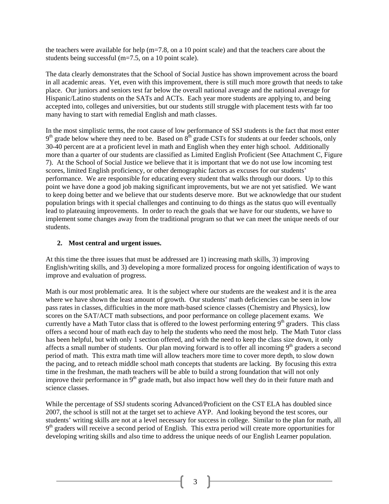the teachers were available for help ( $m=7.8$ , on a 10 point scale) and that the teachers care about the students being successful (m=7.5, on a 10 point scale).

The data clearly demonstrates that the School of Social Justice has shown improvement across the board in all academic areas. Yet, even with this improvement, there is still much more growth that needs to take place. Our juniors and seniors test far below the overall national average and the national average for Hispanic/Latino students on the SATs and ACTs. Each year more students are applying to, and being accepted into, colleges and universities, but our students still struggle with placement tests with far too many having to start with remedial English and math classes.

In the most simplistic terms, the root cause of low performance of SSJ students is the fact that most enter 9<sup>th</sup> grade below where they need to be. Based on 8<sup>th</sup> grade CSTs for students at our feeder schools, only 30-40 percent are at a proficient level in math and English when they enter high school. Additionally more than a quarter of our students are classified as Limited English Proficient (See Attachment C, Figure 7). At the School of Social Justice we believe that it is important that we do not use low incoming test scores, limited English proficiency, or other demographic factors as excuses for our students' performance. We are responsible for educating every student that walks through our doors. Up to this point we have done a good job making significant improvements, but we are not yet satisfied. We want to keep doing better and we believe that our students deserve more. But we acknowledge that our student population brings with it special challenges and continuing to do things as the status quo will eventually lead to plateauing improvements. In order to reach the goals that we have for our students, we have to implement some changes away from the traditional program so that we can meet the unique needs of our students.

#### **2. Most central and urgent issues.**

At this time the three issues that must be addressed are 1) increasing math skills, 3) improving English/writing skills, and 3) developing a more formalized process for ongoing identification of ways to improve and evaluation of progress.

Math is our most problematic area. It is the subject where our students are the weakest and it is the area where we have shown the least amount of growth. Our students' math deficiencies can be seen in low pass rates in classes, difficulties in the more math-based science classes (Chemistry and Physics), low scores on the SAT/ACT math subsections, and poor performance on college placement exams. We currently have a Math Tutor class that is offered to the lowest performing entering  $9<sup>th</sup>$  graders. This class offers a second hour of math each day to help the students who need the most help. The Math Tutor class has been helpful, but with only 1 section offered, and with the need to keep the class size down, it only affects a small number of students. Our plan moving forward is to offer all incoming  $9<sup>th</sup>$  graders a second period of math. This extra math time will allow teachers more time to cover more depth, to slow down the pacing, and to reteach middle school math concepts that students are lacking. By focusing this extra time in the freshman, the math teachers will be able to build a strong foundation that will not only improve their performance in 9<sup>th</sup> grade math, but also impact how well they do in their future math and science classes.

While the percentage of SSJ students scoring Advanced/Proficient on the CST ELA has doubled since 2007, the school is still not at the target set to achieve AYP. And looking beyond the test scores, our students' writing skills are not at a level necessary for success in college. Similar to the plan for math, all  $9<sup>th</sup>$  graders will receive a second period of English. This extra period will create more opportunities for developing writing skills and also time to address the unique needs of our English Learner population.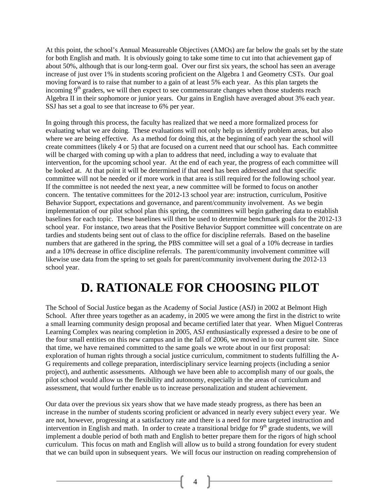At this point, the school's Annual Measureable Objectives (AMOs) are far below the goals set by the state for both English and math. It is obviously going to take some time to cut into that achievement gap of about 50%, although that is our long-term goal. Over our first six years, the school has seen an average increase of just over 1% in students scoring proficient on the Algebra 1 and Geometry CSTs. Our goal moving forward is to raise that number to a gain of at least 5% each year. As this plan targets the incoming 9<sup>th</sup> graders, we will then expect to see commensurate changes when those students reach Algebra II in their sophomore or junior years. Our gains in English have averaged about 3% each year. SSJ has set a goal to see that increase to 6% per year.

In going through this process, the faculty has realized that we need a more formalized process for evaluating what we are doing. These evaluations will not only help us identify problem areas, but also where we are being effective. As a method for doing this, at the beginning of each year the school will create committees (likely 4 or 5) that are focused on a current need that our school has. Each committee will be charged with coming up with a plan to address that need, including a way to evaluate that intervention, for the upcoming school year. At the end of each year, the progress of each committee will be looked at. At that point it will be determined if that need has been addressed and that specific committee will not be needed or if more work in that area is still required for the following school year. If the committee is not needed the next year, a new committee will be formed to focus on another concern. The tentative committees for the 2012-13 school year are: instruction, curriculum, Positive Behavior Support, expectations and governance, and parent/community involvement. As we begin implementation of our pilot school plan this spring, the committees will begin gathering data to establish baselines for each topic. These baselines will then be used to determine benchmark goals for the 2012-13 school year. For instance, two areas that the Positive Behavior Support committee will concentrate on are tardies and students being sent out of class to the office for discipline referrals. Based on the baseline numbers that are gathered in the spring, the PBS committee will set a goal of a 10% decrease in tardies and a 10% decrease in office discipline referrals. The parent/community involvement committee will likewise use data from the spring to set goals for parent/community involvement during the 2012-13 school year.

## **D. RATIONALE FOR CHOOSING PILOT**

The School of Social Justice began as the Academy of Social Justice (ASJ) in 2002 at Belmont High School. After three years together as an academy, in 2005 we were among the first in the district to write a small learning community design proposal and became certified later that year. When Miguel Contreras Learning Complex was nearing completion in 2005, ASJ enthusiastically expressed a desire to be one of the four small entities on this new campus and in the fall of 2006, we moved in to our current site. Since that time, we have remained committed to the same goals we wrote about in our first proposal: exploration of human rights through a social justice curriculum, commitment to students fulfilling the A-G requirements and college preparation, interdisciplinary service learning projects (including a senior project), and authentic assessments. Although we have been able to accomplish many of our goals, the pilot school would allow us the flexibility and autonomy, especially in the areas of curriculum and assessment, that would further enable us to increase personalization and student achievement.

Our data over the previous six years show that we have made steady progress, as there has been an increase in the number of students scoring proficient or advanced in nearly every subject every year. We are not, however, progressing at a satisfactory rate and there is a need for more targeted instruction and intervention in English and math. In order to create a transitional bridge for  $9<sup>th</sup>$  grade students, we will implement a double period of both math and English to better prepare them for the rigors of high school curriculum. This focus on math and English will allow us to build a strong foundation for every student that we can build upon in subsequent years. We will focus our instruction on reading comprehension of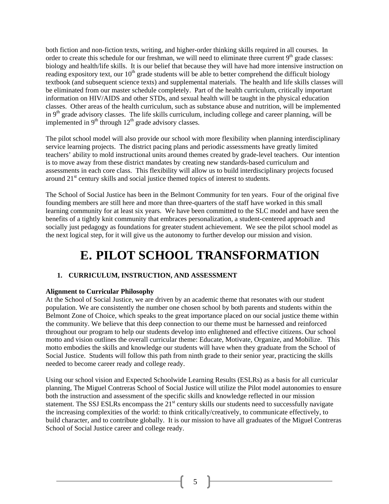both fiction and non-fiction texts, writing, and higher-order thinking skills required in all courses. In order to create this schedule for our freshman, we will need to eliminate three current  $9<sup>th</sup>$  grade classes: biology and health/life skills. It is our belief that because they will have had more intensive instruction on reading expository text, our  $10<sup>th</sup>$  grade students will be able to better comprehend the difficult biology textbook (and subsequent science texts) and supplemental materials. The health and life skills classes will be eliminated from our master schedule completely. Part of the health curriculum, critically important information on HIV/AIDS and other STDs, and sexual health will be taught in the physical education classes. Other areas of the health curriculum, such as substance abuse and nutrition, will be implemented in  $9<sup>th</sup>$  grade advisory classes. The life skills curriculum, including college and career planning, will be implemented in  $9<sup>th</sup>$  through  $12<sup>th</sup>$  grade advisory classes.

The pilot school model will also provide our school with more flexibility when planning interdisciplinary service learning projects. The district pacing plans and periodic assessments have greatly limited teachers' ability to mold instructional units around themes created by grade-level teachers. Our intention is to move away from these district mandates by creating new standards-based curriculum and assessments in each core class. This flexibility will allow us to build interdisciplinary projects focused around  $21<sup>st</sup>$  century skills and social justice themed topics of interest to students.

The School of Social Justice has been in the Belmont Community for ten years. Four of the original five founding members are still here and more than three-quarters of the staff have worked in this small learning community for at least six years. We have been committed to the SLC model and have seen the benefits of a tightly knit community that embraces personalization, a student-centered approach and socially just pedagogy as foundations for greater student achievement. We see the pilot school model as the next logical step, for it will give us the autonomy to further develop our mission and vision.

## **E. PILOT SCHOOL TRANSFORMATION**

#### **1. CURRICULUM, INSTRUCTION, AND ASSESSMENT**

#### **Alignment to Curricular Philosophy**

At the School of Social Justice, we are driven by an academic theme that resonates with our student population. We are consistently the number one chosen school by both parents and students within the Belmont Zone of Choice, which speaks to the great importance placed on our social justice theme within the community. We believe that this deep connection to our theme must be harnessed and reinforced throughout our program to help our students develop into enlightened and effective citizens. Our school motto and vision outlines the overall curricular theme: Educate, Motivate, Organize, and Mobilize. This motto embodies the skills and knowledge our students will have when they graduate from the School of Social Justice. Students will follow this path from ninth grade to their senior year, practicing the skills needed to become career ready and college ready.

Using our school vision and Expected Schoolwide Learning Results (ESLRs) as a basis for all curricular planning, The Miguel Contreras School of Social Justice will utilize the Pilot model autonomies to ensure both the instruction and assessment of the specific skills and knowledge reflected in our mission statement. The SSJ ESLRs encompass the  $21<sup>st</sup>$  century skills our students need to successfully navigate the increasing complexities of the world: to think critically/creatively, to communicate effectively, to build character, and to contribute globally. It is our mission to have all graduates of the Miguel Contreras School of Social Justice career and college ready.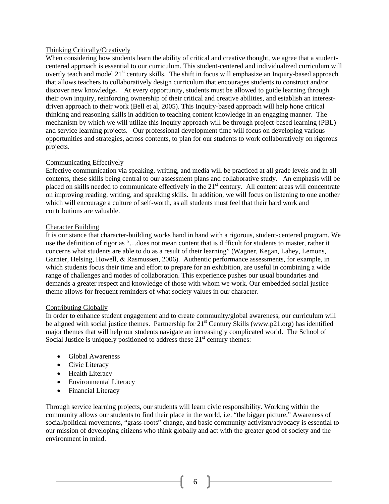#### Thinking Critically/Creatively

When considering how students learn the ability of critical and creative thought, we agree that a studentcentered approach is essential to our curriculum. This student-centered and individualized curriculum will overtly teach and model 21<sup>st</sup> century skills. The shift in focus will emphasize an Inquiry-based approach that allows teachers to collaboratively design curriculum that encourages students to construct and/or discover new knowledge**.** At every opportunity, students must be allowed to guide learning through their own inquiry, reinforcing ownership of their critical and creative abilities, and establish an interestdriven approach to their work (Bell et al, 2005). This Inquiry-based approach will help hone critical thinking and reasoning skills in addition to teaching content knowledge in an engaging manner. The mechanism by which we will utilize this Inquiry approach will be through project-based learning (PBL) and service learning projects. Our professional development time will focus on developing various opportunities and strategies, across contents, to plan for our students to work collaboratively on rigorous projects.

#### Communicating Effectively

Effective communication via speaking, writing, and media will be practiced at all grade levels and in all contents, these skills being central to our assessment plans and collaborative study. An emphasis will be placed on skills needed to communicate effectively in the  $21<sup>st</sup>$  century. All content areas will concentrate on improving reading, writing, and speaking skills. In addition, we will focus on listening to one another which will encourage a culture of self-worth, as all students must feel that their hard work and contributions are valuable.

#### Character Building

It is our stance that character-building works hand in hand with a rigorous, student-centered program. We use the definition of rigor as "…does not mean content that is difficult for students to master, rather it concerns what students are able to do as a result of their learning" (Wagner, Kegan, Lahey, Lemons, Garnier, Helsing, Howell, & Rasmussen, 2006). Authentic performance assessments, for example, in which students focus their time and effort to prepare for an exhibition, are useful in combining a wide range of challenges and modes of collaboration. This experience pushes our usual boundaries and demands a greater respect and knowledge of those with whom we work. Our embedded social justice theme allows for frequent reminders of what society values in our character.

#### Contributing Globally

In order to enhance student engagement and to create community/global awareness, our curriculum will be aligned with social justice themes. Partnership for  $21<sup>st</sup>$  Century Skills (www.p21.org) has identified major themes that will help our students navigate an increasingly complicated world. The School of Social Justice is uniquely positioned to address these  $21<sup>st</sup>$  century themes:

- Global Awareness
- Civic Literacy
- Health Literacy
- Environmental Literacy
- Financial Literacy

Through service learning projects, our students will learn civic responsibility. Working within the community allows our students to find their place in the world, i.e. "the bigger picture." Awareness of social/political movements, "grass-roots" change, and basic community activism/advocacy is essential to our mission of developing citizens who think globally and act with the greater good of society and the environment in mind.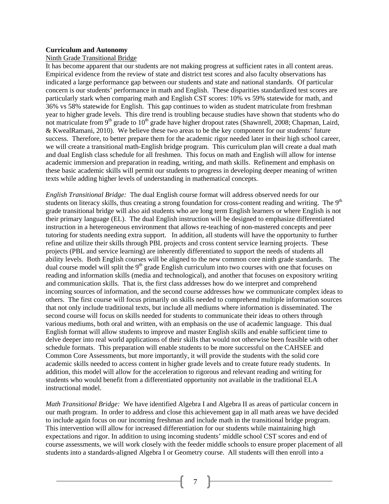#### **Curriculum and Autonomy**

#### Ninth Grade Transitional Bridge

It has become apparent that our students are not making progress at sufficient rates in all content areas. Empirical evidence from the review of state and district test scores and also faculty observations has indicated a large performance gap between our students and state and national standards. Of particular concern is our students' performance in math and English. These disparities standardized test scores are particularly stark when comparing math and English CST scores: 10% vs 59% statewide for math, and 36% vs 58% statewide for English. This gap continues to widen as student matriculate from freshman year to higher grade levels. This dire trend is troubling because studies have shown that students who do not matriculate from  $9<sup>th</sup>$  grade to  $10<sup>th</sup>$  grade have higher dropout rates (Shawnrell, 2008; Chapman, Laird, & KwealRamani, 2010). We believe these two areas to be the key component for our students' future success. Therefore, to better prepare them for the academic rigor needed later in their high school career, we will create a transitional math-English bridge program. This curriculum plan will create a dual math and dual English class schedule for all freshmen. This focus on math and English will allow for intense academic immersion and preparation in reading, writing, and math skills. Refinement and emphasis on these basic academic skills will permit our students to progress in developing deeper meaning of written texts while adding higher levels of understanding in mathematical concepts.

*English Transitional Bridge:* The dual English course format will address observed needs for our students on literacy skills, thus creating a strong foundation for cross-content reading and writing. The  $9<sup>th</sup>$ grade transitional bridge will also aid students who are long term English learners or where English is not their primary language (EL). The dual English instruction will be designed to emphasize differentiated instruction in a heterogeneous environment that allows re-teaching of non-mastered concepts and peer tutoring for students needing extra support. In addition, all students will have the opportunity to further refine and utilize their skills through PBL projects and cross content service learning projects. These projects (PBL and service learning) are inherently differentiated to support the needs of students all ability levels. Both English courses will be aligned to the new common core ninth grade standards. The dual course model will split the  $9<sup>th</sup>$  grade English curriculum into two courses with one that focuses on reading and information skills (media and technological), and another that focuses on expository writing and communication skills. That is, the first class addresses how do we interpret and comprehend incoming sources of information, and the second course addresses how we communicate complex ideas to others. The first course will focus primarily on skills needed to comprehend multiple information sources that not only include traditional texts, but include all mediums where information is disseminated. The second course will focus on skills needed for students to communicate their ideas to others through various mediums, both oral and written, with an emphasis on the use of academic language. This dual English format will allow students to improve and master English skills and enable sufficient time to delve deeper into real world applications of their skills that would not otherwise been feasible with other schedule formats. This preparation will enable students to be more successful on the CAHSEE and Common Core Assessments, but more importantly, it will provide the students with the solid core academic skills needed to access content in higher grade levels and to create future ready students. In addition, this model will allow for the acceleration to rigorous and relevant reading and writing for students who would benefit from a differentiated opportunity not available in the traditional ELA instructional model.

*Math Transitional Bridge:* We have identified Algebra I and Algebra II as areas of particular concern in our math program. In order to address and close this achievement gap in all math areas we have decided to include again focus on our incoming freshman and include math in the transitional bridge program. This intervention will allow for increased differentiation for our students while maintaining high expectations and rigor. In addition to using incoming students' middle school CST scores and end of course assessments, we will work closely with the feeder middle schools to ensure proper placement of all students into a standards-aligned Algebra I or Geometry course. All students will then enroll into a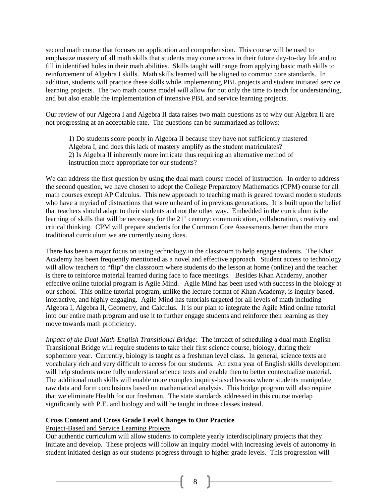second math course that focuses on application and comprehension. This course will be used to emphasize mastery of all math skills that students may come across in their future day-to-day life and to fill in identified holes in their math abilities. Skills taught will range from applying basic math skills to reinforcement of Algebra I skills. Math skills learned will be aligned to common core standards. In addition, students will practice these skills while implementing PBL projects and student initiated service learning projects. The two math course model will allow for not only the time to teach for understanding, and but also enable the implementation of intensive PBL and service learning projects.

Our review of our Algebra I and Algebra II data raises two main questions as to why our Algebra II are not progressing at an acceptable rate. The questions can be summarized as follows:

1) Do students score poorly in Algebra II because they have not sufficiently mastered Algebra I, and does this lack of mastery amplify as the student matriculates? 2) Is Algebra II inherently more intricate thus requiring an alternative method of instruction more appropriate for our students?

We can address the first question by using the dual math course model of instruction. In order to address the second question, we have chosen to adopt the College Preparatory Mathematics (CPM) course for all math courses except AP Calculus. This new approach to teaching math is geared toward modern students who have a myriad of distractions that were unheard of in previous generations. It is built upon the belief that teachers should adapt to their students and not the other way. Embedded in the curriculum is the learning of skills that will be necessary for the 21<sup>st</sup> century: communication, collaboration, creativity and critical thinking. CPM will prepare students for the Common Core Assessments better than the more traditional curriculum we are currently using does.

There has been a major focus on using technology in the classroom to help engage students. The Khan Academy has been frequently mentioned as a novel and effective approach. Student access to technology will allow teachers to "flip" the classroom where students do the lesson at home (online) and the teacher is there to reinforce material learned during face to face meetings. Besides Khan Academy, another effective online tutorial program is Agile Mind. Agile Mind has been used with success in the biology at our school. This online tutorial program, unlike the lecture format of Khan Academy, is inquiry based, interactive, and highly engaging. Agile Mind has tutorials targeted for all levels of math including Algebra I, Algebra II, Geometry, and Calculus. It is our plan to integrate the Agile Mind online tutorial into our entire math program and use it to further engage students and reinforce their learning as they move towards math proficiency.

*Impact of the Dual Math-English Transitional Bridge:* The impact of scheduling a dual math-English Transitional Bridge will require students to take their first science course, biology, during their sophomore year. Currently, biology is taught as a freshman level class. In general, science texts are vocabulary rich and very difficult to access for our students. An extra year of English skills development will help students more fully understand science texts and enable then to better contextualize material. The additional math skills will enable more complex inquiry-based lessons where students manipulate raw data and form conclusions based on mathematical analysis. This bridge program will also require that we eliminate Health for our freshman. The state standards addressed in this course overlap significantly with P.E. and biology and will be taught in those classes instead.

#### **Cross Content and Cross Grade Level Changes to Our Practice**

#### Project-Based and Service Learning Projects

Our authentic curriculum will allow students to complete yearly interdisciplinary projects that they initiate and develop. These projects will follow an inquiry model with increasing levels of autonomy in student initiated design as our students progress through to higher grade levels. This progression will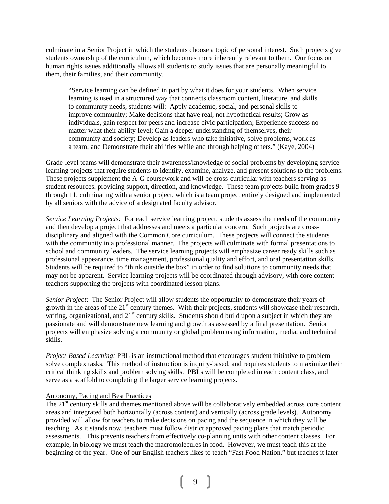culminate in a Senior Project in which the students choose a topic of personal interest. Such projects give students ownership of the curriculum, which becomes more inherently relevant to them. Our focus on human rights issues additionally allows all students to study issues that are personally meaningful to them, their families, and their community.

"Service learning can be defined in part by what it does for your students. When service learning is used in a structured way that connects classroom content, literature, and skills to community needs, students will: Apply academic, social, and personal skills to improve community; Make decisions that have real, not hypothetical results; Grow as individuals, gain respect for peers and increase civic participation; Experience success no matter what their ability level; Gain a deeper understanding of themselves, their community and society; Develop as leaders who take initiative, solve problems, work as a team; and Demonstrate their abilities while and through helping others." (Kaye, 2004)

Grade-level teams will demonstrate their awareness/knowledge of social problems by developing service learning projects that require students to identify, examine, analyze, and present solutions to the problems. These projects supplement the A-G coursework and will be cross-curricular with teachers serving as student resources, providing support, direction, and knowledge. These team projects build from grades 9 through 11, culminating with a senior project, which is a team project entirely designed and implemented by all seniors with the advice of a designated faculty advisor.

*Service Learning Projects:* For each service learning project, students assess the needs of the community and then develop a project that addresses and meets a particular concern. Such projects are crossdisciplinary and aligned with the Common Core curriculum. These projects will connect the students with the community in a professional manner. The projects will culminate with formal presentations to school and community leaders. The service learning projects will emphasize career ready skills such as professional appearance, time management, professional quality and effort, and oral presentation skills. Students will be required to "think outside the box" in order to find solutions to community needs that may not be apparent. Service learning projects will be coordinated through advisory, with core content teachers supporting the projects with coordinated lesson plans.

*Senior Project*: The Senior Project will allow students the opportunity to demonstrate their years of growth in the areas of the 21<sup>st</sup> century themes. With their projects, students will showcase their research, writing, organizational, and  $21<sup>st</sup>$  century skills. Students should build upon a subject in which they are passionate and will demonstrate new learning and growth as assessed by a final presentation. Senior projects will emphasize solving a community or global problem using information, media, and technical skills.

*Project-Based Learning:* PBL is an instructional method that encourages student initiative to problem solve complex tasks. This method of instruction is inquiry-based, and requires students to maximize their critical thinking skills and problem solving skills. PBLs will be completed in each content class, and serve as a scaffold to completing the larger service learning projects.

#### Autonomy, Pacing and Best Practices

The 21<sup>st</sup> century skills and themes mentioned above will be collaboratively embedded across core content areas and integrated both horizontally (across content) and vertically (across grade levels). Autonomy provided will allow for teachers to make decisions on pacing and the sequence in which they will be teaching. As it stands now, teachers must follow district approved pacing plans that match periodic assessments. This prevents teachers from effectively co-planning units with other content classes. For example, in biology we must teach the macromolecules in food. However, we must teach this at the beginning of the year. One of our English teachers likes to teach "Fast Food Nation," but teaches it later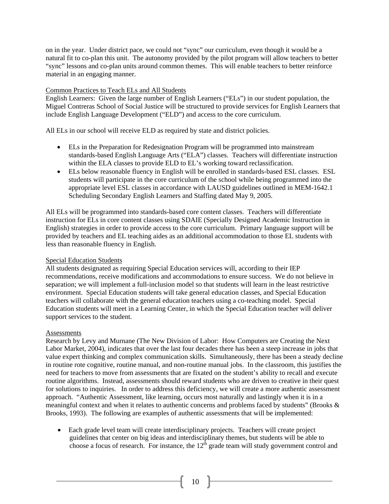on in the year. Under district pace, we could not "sync" our curriculum, even though it would be a natural fit to co-plan this unit. The autonomy provided by the pilot program will allow teachers to better "sync" lessons and co-plan units around common themes. This will enable teachers to better reinforce material in an engaging manner.

#### Common Practices to Teach ELs and All Students

English Learners: Given the large number of English Learners ("ELs") in our student population, the Miguel Contreras School of Social Justice will be structured to provide services for English Learners that include English Language Development ("ELD") and access to the core curriculum.

All ELs in our school will receive ELD as required by state and district policies.

- ELs in the Preparation for Redesignation Program will be programmed into mainstream standards-based English Language Arts ("ELA") classes. Teachers will differentiate instruction within the ELA classes to provide ELD to EL's working toward reclassification.
- ELs below reasonable fluency in English will be enrolled in standards-based ESL classes. ESL students will participate in the core curriculum of the school while being programmed into the appropriate level ESL classes in accordance with LAUSD guidelines outlined in MEM-1642.1 Scheduling Secondary English Learners and Staffing dated May 9, 2005.

All ELs will be programmed into standards-based core content classes. Teachers will differentiate instruction for ELs in core content classes using SDAIE (Specially Designed Academic Instruction in English) strategies in order to provide access to the core curriculum. Primary language support will be provided by teachers and EL teaching aides as an additional accommodation to those EL students with less than reasonable fluency in English.

#### Special Education Students

All students designated as requiring Special Education services will, according to their IEP recommendations, receive modifications and accommodations to ensure success. We do not believe in separation; we will implement a full-inclusion model so that students will learn in the least restrictive environment. Special Education students will take general education classes, and Special Education teachers will collaborate with the general education teachers using a co-teaching model. Special Education students will meet in a Learning Center, in which the Special Education teacher will deliver support services to the student.

#### **Assessments**

Research by Levy and Murnane (The New Division of Labor: How Computers are Creating the Next Labor Market, 2004), indicates that over the last four decades there has been a steep increase in jobs that value expert thinking and complex communication skills. Simultaneously, there has been a steady decline in routine rote cognitive, routine manual, and non-routine manual jobs. In the classroom, this justifies the need for teachers to move from assessments that are fixated on the student's ability to recall and execute routine algorithms. Instead, assessments should reward students who are driven to creative in their quest for solutions to inquiries. In order to address this deficiency, we will create a more authentic assessment approach. "Authentic Assessment, like learning, occurs most naturally and lastingly when it is in a meaningful context and when it relates to authentic concerns and problems faced by students" (Brooks & Brooks, 1993). The following are examples of authentic assessments that will be implemented:

 Each grade level team will create interdisciplinary projects. Teachers will create project guidelines that center on big ideas and interdisciplinary themes, but students will be able to choose a focus of research. For instance, the 12<sup>th</sup> grade team will study government control and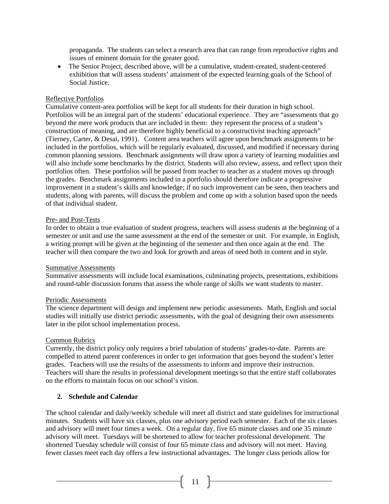propaganda. The students can select a research area that can range from reproductive rights and issues of eminent domain for the greater good.

 The Senior Project, described above, will be a cumulative, student-created, student-centered exhibition that will assess students' attainment of the expected learning goals of the School of Social Justice.

#### Reflective Portfolios

Cumulative content-area portfolios will be kept for all students for their duration in high school. Portfolios will be an integral part of the students' educational experience. They are "assessments that go beyond the mere work products that are included in them: they represent the process of a student's construction of meaning, and are therefore highly beneficial to a constructivist teaching approach" (Tierney, Carter, & Desai, 1991). Content area teachers will agree upon benchmark assignments to be included in the portfolios, which will be regularly evaluated, discussed, and modified if necessary during common planning sessions. Benchmark assignments will draw upon a variety of learning modalities and will also include some benchmarks by the district. Students will also review, assess, and reflect upon their portfolios often. These portfolios will be passed from teacher to teacher as a student moves up through the grades. Benchmark assignments included in a portfolio should therefore indicate a progressive improvement in a student's skills and knowledge; if no such improvement can be seen, then teachers and students, along with parents, will discuss the problem and come up with a solution based upon the needs of that individual student.

#### Pre- and Post-Tests

In order to obtain a true evaluation of student progress, teachers will assess students at the beginning of a semester or unit and use the same assessment at the end of the semester or unit. For example, in English, a writing prompt will be given at the beginning of the semester and then once again at the end. The teacher will then compare the two and look for growth and areas of need both in content and in style.

#### Summative Assessments

Summative assessments will include local examinations, culminating projects, presentations, exhibitions and round-table discussion forums that assess the whole range of skills we want students to master.

#### Periodic Assessments

The science department will design and implement new periodic assessments. Math, English and social studies will initially use district periodic assessments, with the goal of designing their own assessments later in the pilot school implementation process.

#### Common Rubrics

Currently, the district policy only requires a brief tabulation of students' grades-to-date. Parents are compelled to attend parent conferences in order to get information that goes beyond the student's letter grades. Teachers will use the results of the assessments to inform and improve their instruction. Teachers will share the results in professional development meetings so that the entire staff collaborates on the efforts to maintain focus on our school's vision.

#### **2. Schedule and Calendar**

The school calendar and daily/weekly schedule will meet all district and state guidelines for instructional minutes. Students will have six classes, plus one advisory period each semester. Each of the six classes and advisory will meet four times a week. On a regular day, five 65 minute classes and one 35 minute advisory will meet. Tuesdays will be shortened to allow for teacher professional development. The shortened Tuesday schedule will consist of four 65 minute class and advisory will not meet. Having fewer classes meet each day offers a few instructional advantages. The longer class periods allow for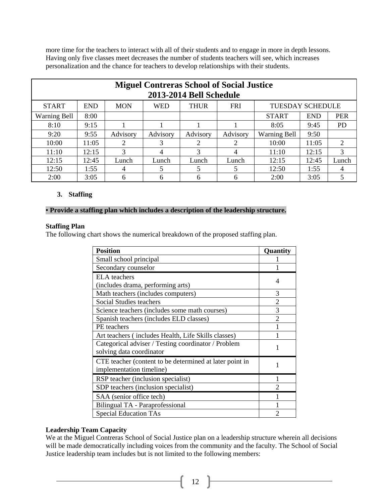more time for the teachers to interact with all of their students and to engage in more in depth lessons. Having only five classes meet decreases the number of students teachers will see, which increases personalization and the chance for teachers to develop relationships with their students.

|                                             | <b>Miguel Contreras School of Social Justice</b><br>2013-2014 Bell Schedule                    |          |          |                |                             |                     |            |           |  |  |  |  |  |  |
|---------------------------------------------|------------------------------------------------------------------------------------------------|----------|----------|----------------|-----------------------------|---------------------|------------|-----------|--|--|--|--|--|--|
| <b>START</b>                                | <b>FRI</b><br><b>END</b><br><b>MON</b><br><b>WED</b><br><b>THUR</b><br><b>TUESDAY SCHEDULE</b> |          |          |                |                             |                     |            |           |  |  |  |  |  |  |
| 8:00<br><b>Warning Bell</b><br><b>START</b> |                                                                                                |          |          |                |                             | <b>END</b>          | <b>PER</b> |           |  |  |  |  |  |  |
| 8:10                                        | 9:15                                                                                           |          |          |                |                             | 8:05                | 9:45       | <b>PD</b> |  |  |  |  |  |  |
| 9:20                                        | 9:55                                                                                           | Advisory | Advisory | Advisory       | Advisory                    | <b>Warning Bell</b> | 9:50       |           |  |  |  |  |  |  |
| 10:00                                       | 11:05                                                                                          | 2        | 3        | $\overline{2}$ | $\mathcal{D}_{\mathcal{L}}$ | 10:00               | 11:05      | 2         |  |  |  |  |  |  |
| 11:10                                       | 12:15                                                                                          | 3        | 4        | 3              | 4                           | 11:10               | 12:15      | 3         |  |  |  |  |  |  |
| 12:15                                       | 12:45                                                                                          | Lunch    | Lunch    | Lunch          | Lunch                       | 12:15               | 12:45      | Lunch     |  |  |  |  |  |  |
| 12:50                                       | 1:55                                                                                           | 4        | 5        | 5              |                             | 12:50               | 1:55       | 4         |  |  |  |  |  |  |
| 2:00                                        | 3:05                                                                                           | 6        | 6        | 6              | h                           | 2:00                | 3:05       | 5         |  |  |  |  |  |  |

#### **3. Staffing**

#### **• Provide a staffing plan which includes a description of the leadership structure.**

#### **Staffing Plan**

The following chart shows the numerical breakdown of the proposed staffing plan.

| <b>Position</b>                                         | Quantity       |
|---------------------------------------------------------|----------------|
| Small school principal                                  |                |
| Secondary counselor                                     |                |
| <b>ELA</b> teachers                                     | 4              |
| (includes drama, performing arts)                       |                |
| Math teachers (includes computers)                      | 3              |
| <b>Social Studies teachers</b>                          | $\overline{2}$ |
| Science teachers (includes some math courses)           | 3              |
| Spanish teachers (includes ELD classes)                 | $\overline{c}$ |
| PE teachers                                             |                |
| Art teachers (includes Health, Life Skills classes)     |                |
| Categorical adviser / Testing coordinator / Problem     | 1              |
| solving data coordinator                                |                |
| CTE teacher (content to be determined at later point in | 1              |
| implementation timeline)                                |                |
| RSP teacher (inclusion specialist)                      |                |
| SDP teachers (inclusion specialist)                     |                |
| SAA (senior office tech)                                |                |
| Bilingual TA - Paraprofessional                         |                |
| <b>Special Education TAs</b>                            |                |

#### **Leadership Team Capacity**

We at the Miguel Contreras School of Social Justice plan on a leadership structure wherein all decisions will be made democratically including voices from the community and the faculty. The School of Social Justice leadership team includes but is not limited to the following members:

 $\begin{bmatrix} 12 \end{bmatrix}$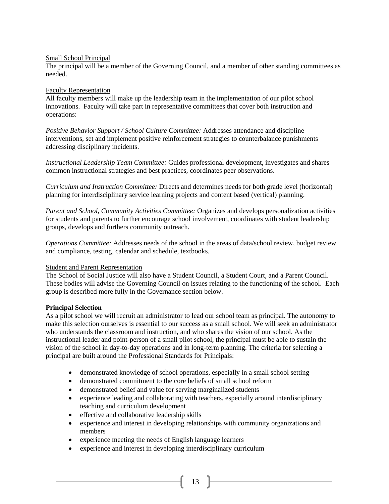#### Small School Principal

The principal will be a member of the Governing Council, and a member of other standing committees as needed.

#### Faculty Representation

All faculty members will make up the leadership team in the implementation of our pilot school innovations. Faculty will take part in representative committees that cover both instruction and operations:

*Positive Behavior Support / School Culture Committee:* Addresses attendance and discipline interventions, set and implement positive reinforcement strategies to counterbalance punishments addressing disciplinary incidents.

*Instructional Leadership Team Committee:* Guides professional development, investigates and shares common instructional strategies and best practices, coordinates peer observations.

*Curriculum and Instruction Committee:* Directs and determines needs for both grade level (horizontal) planning for interdisciplinary service learning projects and content based (vertical) planning.

*Parent and School, Community Activities Committee:* Organizes and develops personalization activities for students and parents to further encourage school involvement, coordinates with student leadership groups, develops and furthers community outreach.

*Operations Committee:* Addresses needs of the school in the areas of data/school review, budget review and compliance, testing, calendar and schedule, textbooks.

#### Student and Parent Representation

The School of Social Justice will also have a Student Council, a Student Court, and a Parent Council. These bodies will advise the Governing Council on issues relating to the functioning of the school. Each group is described more fully in the Governance section below.

#### **Principal Selection**

As a pilot school we will recruit an administrator to lead our school team as principal. The autonomy to make this selection ourselves is essential to our success as a small school. We will seek an administrator who understands the classroom and instruction, and who shares the vision of our school. As the instructional leader and point-person of a small pilot school, the principal must be able to sustain the vision of the school in day-to-day operations and in long-term planning. The criteria for selecting a principal are built around the Professional Standards for Principals:

- demonstrated knowledge of school operations, especially in a small school setting
- demonstrated commitment to the core beliefs of small school reform
- demonstrated belief and value for serving marginalized students
- experience leading and collaborating with teachers, especially around interdisciplinary teaching and curriculum development
- effective and collaborative leadership skills
- experience and interest in developing relationships with community organizations and members
- experience meeting the needs of English language learners
- experience and interest in developing interdisciplinary curriculum

 $13 \quad$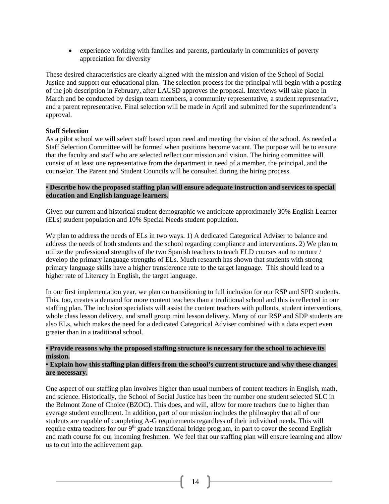experience working with families and parents, particularly in communities of poverty appreciation for diversity

These desired characteristics are clearly aligned with the mission and vision of the School of Social Justice and support our educational plan. The selection process for the principal will begin with a posting of the job description in February, after LAUSD approves the proposal. Interviews will take place in March and be conducted by design team members, a community representative, a student representative, and a parent representative. Final selection will be made in April and submitted for the superintendent's approval.

#### **Staff Selection**

As a pilot school we will select staff based upon need and meeting the vision of the school. As needed a Staff Selection Committee will be formed when positions become vacant. The purpose will be to ensure that the faculty and staff who are selected reflect our mission and vision. The hiring committee will consist of at least one representative from the department in need of a member, the principal, and the counselor. The Parent and Student Councils will be consulted during the hiring process.

#### **• Describe how the proposed staffing plan will ensure adequate instruction and services to special education and English language learners.**

Given our current and historical student demographic we anticipate approximately 30% English Learner (ELs) student population and 10% Special Needs student population.

We plan to address the needs of ELs in two ways. 1) A dedicated Categorical Adviser to balance and address the needs of both students and the school regarding compliance and interventions. 2) We plan to utilize the professional strengths of the two Spanish teachers to teach ELD courses and to nurture / develop the primary language strengths of ELs. Much research has shown that students with strong primary language skills have a higher transference rate to the target language. This should lead to a higher rate of Literacy in English, the target language.

In our first implementation year, we plan on transitioning to full inclusion for our RSP and SPD students. This, too, creates a demand for more content teachers than a traditional school and this is reflected in our staffing plan. The inclusion specialists will assist the content teachers with pullouts, student interventions, whole class lesson delivery, and small group mini lesson delivery. Many of our RSP and SDP students are also ELs, which makes the need for a dedicated Categorical Adviser combined with a data expert even greater than in a traditional school.

#### **• Provide reasons why the proposed staffing structure is necessary for the school to achieve its mission.**

#### **• Explain how this staffing plan differs from the school's current structure and why these changes are necessary.**

One aspect of our staffing plan involves higher than usual numbers of content teachers in English, math, and science. Historically, the School of Social Justice has been the number one student selected SLC in the Belmont Zone of Choice (BZOC). This does, and will, allow for more teachers due to higher than average student enrollment. In addition, part of our mission includes the philosophy that all of our students are capable of completing A-G requirements regardless of their individual needs. This will require extra teachers for our 9<sup>th</sup> grade transitional bridge program, in part to cover the second English and math course for our incoming freshmen. We feel that our staffing plan will ensure learning and allow us to cut into the achievement gap.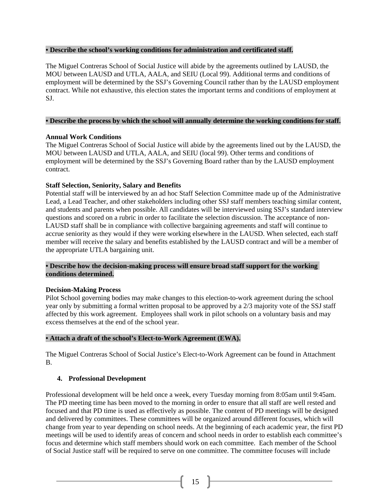#### **• Describe the school's working conditions for administration and certificated staff.**

The Miguel Contreras School of Social Justice will abide by the agreements outlined by LAUSD, the MOU between LAUSD and UTLA, AALA, and SEIU (Local 99). Additional terms and conditions of employment will be determined by the SSJ's Governing Council rather than by the LAUSD employment contract. While not exhaustive, this election states the important terms and conditions of employment at SJ.

#### **• Describe the process by which the school will annually determine the working conditions for staff.**

#### **Annual Work Conditions**

The Miguel Contreras School of Social Justice will abide by the agreements lined out by the LAUSD, the MOU between LAUSD and UTLA, AALA, and SEIU (local 99). Other terms and conditions of employment will be determined by the SSJ's Governing Board rather than by the LAUSD employment contract.

#### **Staff Selection, Seniority, Salary and Benefits**

Potential staff will be interviewed by an ad hoc Staff Selection Committee made up of the Administrative Lead, a Lead Teacher, and other stakeholders including other SSJ staff members teaching similar content, and students and parents when possible. All candidates will be interviewed using SSJ's standard interview questions and scored on a rubric in order to facilitate the selection discussion. The acceptance of non-LAUSD staff shall be in compliance with collective bargaining agreements and staff will continue to accrue seniority as they would if they were working elsewhere in the LAUSD. When selected, each staff member will receive the salary and benefits established by the LAUSD contract and will be a member of the appropriate UTLA bargaining unit.

#### **• Describe how the decision-making process will ensure broad staff support for the working conditions determined.**

#### **Decision-Making Process**

Pilot School governing bodies may make changes to this election-to-work agreement during the school year only by submitting a formal written proposal to be approved by a 2/3 majority vote of the SSJ staff affected by this work agreement. Employees shall work in pilot schools on a voluntary basis and may excess themselves at the end of the school year.

#### **• Attach a draft of the school's Elect-to-Work Agreement (EWA).**

The Miguel Contreras School of Social Justice's Elect-to-Work Agreement can be found in Attachment B.

#### **4. Professional Development**

Professional development will be held once a week, every Tuesday morning from 8:05am until 9:45am. The PD meeting time has been moved to the morning in order to ensure that all staff are well rested and focused and that PD time is used as effectively as possible. The content of PD meetings will be designed and delivered by committees. These committees will be organized around different focuses, which will change from year to year depending on school needs. At the beginning of each academic year, the first PD meetings will be used to identify areas of concern and school needs in order to establish each committee's focus and determine which staff members should work on each committee. Each member of the School of Social Justice staff will be required to serve on one committee. The committee focuses will include

 $\begin{bmatrix} 15 \end{bmatrix}$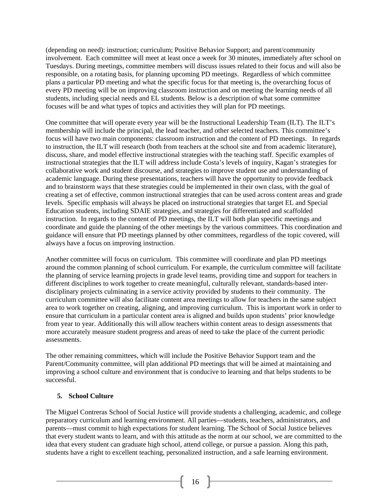(depending on need): instruction; curriculum; Positive Behavior Support; and parent/community involvement. Each committee will meet at least once a week for 30 minutes, immediately after school on Tuesdays. During meetings, committee members will discuss issues related to their focus and will also be responsible, on a rotating basis, for planning upcoming PD meetings. Regardless of which committee plans a particular PD meeting and what the specific focus for that meeting is, the overarching focus of every PD meeting will be on improving classroom instruction and on meeting the learning needs of all students, including special needs and EL students. Below is a description of what some committee focuses will be and what types of topics and activities they will plan for PD meetings.

One committee that will operate every year will be the Instructional Leadership Team (ILT). The ILT's membership will include the principal, the lead teacher, and other selected teachers. This committee's focus will have two main components: classroom instruction and the content of PD meetings. In regards to instruction, the ILT will research (both from teachers at the school site and from academic literature), discuss, share, and model effective instructional strategies with the teaching staff. Specific examples of instructional strategies that the ILT will address include Costa's levels of inquiry, Kagan's strategies for collaborative work and student discourse, and strategies to improve student use and understanding of academic language. During these presentations, teachers will have the opportunity to provide feedback and to brainstorm ways that these strategies could be implemented in their own class, with the goal of creating a set of effective, common instructional strategies that can be used across content areas and grade levels. Specific emphasis will always be placed on instructional strategies that target EL and Special Education students, including SDAIE strategies, and strategies for differentiated and scaffolded instruction. In regards to the content of PD meetings, the ILT will both plan specific meetings and coordinate and guide the planning of the other meetings by the various committees. This coordination and guidance will ensure that PD meetings planned by other committees, regardless of the topic covered, will always have a focus on improving instruction.

Another committee will focus on curriculum. This committee will coordinate and plan PD meetings around the common planning of school curriculum. For example, the curriculum committee will facilitate the planning of service learning projects in grade level teams, providing time and support for teachers in different disciplines to work together to create meaningful, culturally relevant, standards-based interdisciplinary projects culminating in a service activity provided by students to their community. The curriculum committee will also facilitate content area meetings to allow for teachers in the same subject area to work together on creating, aligning, and improving curriculum. This is important work in order to ensure that curriculum in a particular content area is aligned and builds upon students' prior knowledge from year to year. Additionally this will allow teachers within content areas to design assessments that more accurately measure student progress and areas of need to take the place of the current periodic assessments.

The other remaining committees, which will include the Positive Behavior Support team and the Parent/Community committee, will plan additional PD meetings that will be aimed at maintaining and improving a school culture and environment that is conducive to learning and that helps students to be successful.

#### **5. School Culture**

The Miguel Contreras School of Social Justice will provide students a challenging, academic, and college preparatory curriculum and learning environment. All parties—students, teachers, administrators, and parents—must commit to high expectations for student learning. The School of Social Justice believes that every student wants to learn, and with this attitude as the norm at our school, we are committed to the idea that every student can graduate high school, attend college, or pursue a passion. Along this path, students have a right to excellent teaching, personalized instruction, and a safe learning environment.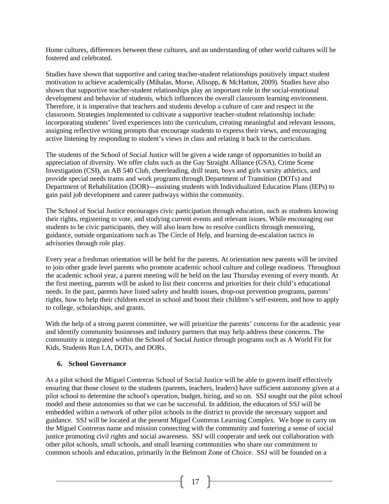Home cultures, differences between these cultures, and an understanding of other world cultures will be fostered and celebrated.

Studies have shown that supportive and caring teacher-student relationships positively impact student motivation to achieve academically (Mihalas, Morse, Allsopp, & McHatton, 2009). Studies have also shown that supportive teacher-student relationships play an important role in the social-emotional development and behavior of students, which influences the overall classroom learning environment. Therefore, it is imperative that teachers and students develop a culture of care and respect in the classroom. Strategies implemented to cultivate a supportive teacher-student relationship include: incorporating students' lived experiences into the curriculum, creating meaningful and relevant lessons, assigning reflective writing prompts that encourage students to express their views, and encouraging active listening by responding to student's views in class and relating it back to the curriculum.

The students of the School of Social Justice will be given a wide range of opportunities to build an appreciation of diversity. We offer clubs such as the Gay Straight Alliance (GSA), Crime Scene Investigation (CSI), an AB 540 Club, cheerleading, drill team, boys and girls varsity athletics, and provide special needs teams and work programs through Department of Transition (DOTs) and Department of Rehabilitation (DOR)—assisting students with Individualized Education Plans (IEPs) to gain paid job development and career pathways within the community.

The School of Social Justice encourages civic participation through education, such as students knowing their rights, registering to vote, and studying current events and relevant issues. While encouraging our students to be civic participants, they will also learn how to resolve conflicts through mentoring, guidance, outside organizations such as The Circle of Help, and learning de-escalation tactics in advisories through role play.

Every year a freshman orientation will be held for the parents. At orientation new parents will be invited to join other grade level parents who promote academic school culture and college readiness. Throughout the academic school year, a parent meeting will be held on the last Thursday evening of every month. At the first meeting, parents will be asked to list their concerns and priorities for their child's educational needs. In the past, parents have listed safety and health issues, drop-out prevention programs, parents' rights, how to help their children excel in school and boost their children's self-esteem, and how to apply to college, scholarships, and grants.

With the help of a strong parent committee, we will prioritize the parents' concerns for the academic year and identify community businesses and industry partners that may help address these concerns. The community is integrated within the School of Social Justice through programs such as A World Fit for Kids, Students Run LA, DOTs, and DORs.

#### **6. School Governance**

As a pilot school the Miguel Contreras School of Social Justice will be able to govern itself effectively ensuring that those closest to the students (parents, teachers, leaders) have sufficient autonomy given at a pilot school to determine the school's operation, budget, hiring, and so on. SSJ sought out the pilot school model and these autonomies so that we can be successful. In addition, the educators of SSJ will be embedded within a network of other pilot schools in the district to provide the necessary support and guidance. SSJ will be located at the present Miguel Contreras Learning Complex. We hope to carry on the Miguel Contreras name and mission connecting with the community and fostering a sense of social justice promoting civil rights and social awareness. SSJ will cooperate and seek out collaboration with other pilot schools, small schools, and small learning communities who share our commitment to common schools and education, primarily in the Belmont Zone of Choice. SSJ will be founded on a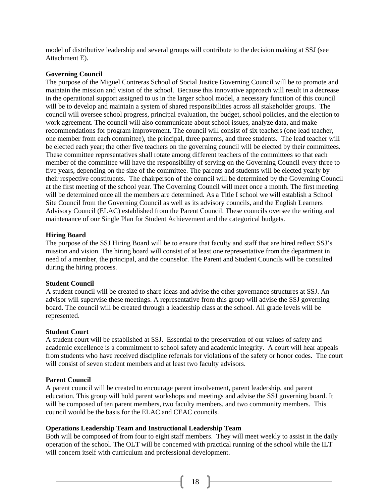model of distributive leadership and several groups will contribute to the decision making at SSJ (see Attachment E).

#### **Governing Council**

The purpose of the Miguel Contreras School of Social Justice Governing Council will be to promote and maintain the mission and vision of the school. Because this innovative approach will result in a decrease in the operational support assigned to us in the larger school model, a necessary function of this council will be to develop and maintain a system of shared responsibilities across all stakeholder groups. The council will oversee school progress, principal evaluation, the budget, school policies, and the election to work agreement. The council will also communicate about school issues, analyze data, and make recommendations for program improvement. The council will consist of six teachers (one lead teacher, one member from each committee), the principal, three parents, and three students. The lead teacher will be elected each year; the other five teachers on the governing council will be elected by their committees. These committee representatives shall rotate among different teachers of the committees so that each member of the committee will have the responsibility of serving on the Governing Council every three to five years, depending on the size of the committee. The parents and students will be elected yearly by their respective constituents. The chairperson of the council will be determined by the Governing Council at the first meeting of the school year. The Governing Council will meet once a month. The first meeting will be determined once all the members are determined. As a Title I school we will establish a School Site Council from the Governing Council as well as its advisory councils, and the English Learners Advisory Council (ELAC) established from the Parent Council. These councils oversee the writing and maintenance of our Single Plan for Student Achievement and the categorical budgets.

#### **Hiring Board**

The purpose of the SSJ Hiring Board will be to ensure that faculty and staff that are hired reflect SSJ's mission and vision. The hiring board will consist of at least one representative from the department in need of a member, the principal, and the counselor. The Parent and Student Councils will be consulted during the hiring process.

#### **Student Council**

A student council will be created to share ideas and advise the other governance structures at SSJ. An advisor will supervise these meetings. A representative from this group will advise the SSJ governing board. The council will be created through a leadership class at the school. All grade levels will be represented.

#### **Student Court**

A student court will be established at SSJ. Essential to the preservation of our values of safety and academic excellence is a commitment to school safety and academic integrity. A court will hear appeals from students who have received discipline referrals for violations of the safety or honor codes. The court will consist of seven student members and at least two faculty advisors.

#### **Parent Council**

A parent council will be created to encourage parent involvement, parent leadership, and parent education. This group will hold parent workshops and meetings and advise the SSJ governing board. It will be composed of ten parent members, two faculty members, and two community members. This council would be the basis for the ELAC and CEAC councils.

#### **Operations Leadership Team and Instructional Leadership Team**

Both will be composed of from four to eight staff members. They will meet weekly to assist in the daily operation of the school. The OLT will be concerned with practical running of the school while the ILT will concern itself with curriculum and professional development.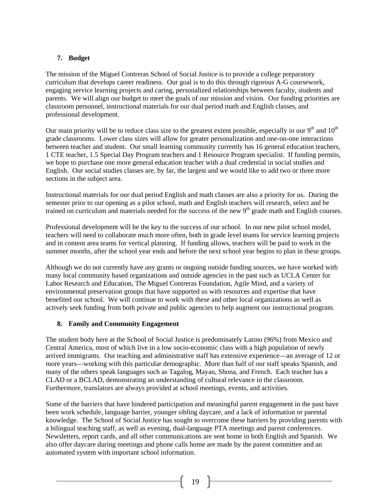#### **7. Budget**

The mission of the Miguel Contreras School of Social Justice is to provide a college preparatory curriculum that develops career readiness. Our goal is to do this through rigorous A-G coursework, engaging service learning projects and caring, personalized relationships between faculty, students and parents. We will align our budget to meet the goals of our mission and vision. Our funding priorities are classroom personnel, instructional materials for our dual period math and English classes, and professional development.

Our main priority will be to reduce class size to the greatest extent possible, especially in our  $9<sup>th</sup>$  and  $10<sup>th</sup>$ grade classrooms. Lower class sizes will allow for greater personalization and one-on-one interactions between teacher and student. Our small learning community currently has 16 general education teachers, 1 CTE teacher, 1.5 Special Day Program teachers and 1 Resource Program specialist. If funding permits, we hope to purchase one more general education teacher with a dual credential in social studies and English. Our social studies classes are, by far, the largest and we would like to add two or three more sections in the subject area.

Instructional materials for our dual period English and math classes are also a priority for us. During the semester prior to our opening as a pilot school, math and English teachers will research, select and be trained on curriculum and materials needed for the success of the new 9<sup>th</sup> grade math and English courses.

Professional development will be the key to the success of our school. In our new pilot school model, teachers will need to collaborate much more often, both in grade level teams for service learning projects and in content area teams for vertical planning. If funding allows, teachers will be paid to work in the summer months, after the school year ends and before the next school year begins to plan in these groups.

Although we do not currently have any grants or ongoing outside funding sources, we have worked with many local community based organizations and outside agencies in the past such as UCLA Center for Labor Research and Education, The Miguel Contreras Foundation, Agile Mind, and a variety of environmental preservation groups that have supported us with resources and expertise that have benefited our school. We will continue to work with these and other local organizations as well as actively seek funding from both private and public agencies to help augment our instructional program.

#### **8. Family and Community Engagement**

The student body here at the School of Social Justice is predominately Latino (96%) from Mexico and Central America, most of which live in a low socio-economic class with a high population of newly arrived immigrants. Our teaching and administrative staff has extensive experience—an average of 12 or more years—working with this particular demographic. More than half of our staff speaks Spanish, and many of the others speak languages such as Tagalog, Mayan, Shona, and French. Each teacher has a CLAD or a BCLAD, demonstrating an understanding of cultural relevance in the classroom. Furthermore, translators are always provided at school meetings, events, and activities.

Some of the barriers that have hindered participation and meaningful parent engagement in the past have been work schedule, language barrier, younger sibling daycare, and a lack of information or parental knowledge. The School of Social Justice has sought to overcome these barriers by providing parents with a bilingual teaching staff, as well as evening, dual-language PTA meetings and parent conferences. Newsletters, report cards, and all other communications are sent home in both English and Spanish. We also offer daycare during meetings and phone calls home are made by the parent committee and an automated system with important school information.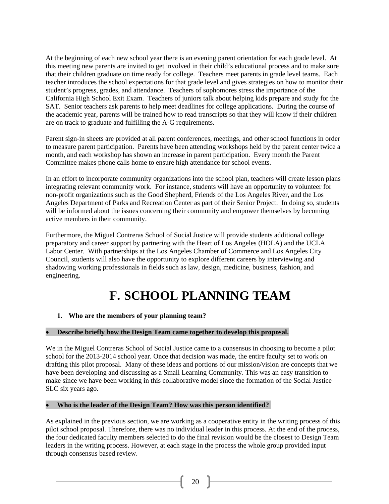At the beginning of each new school year there is an evening parent orientation for each grade level. At this meeting new parents are invited to get involved in their child's educational process and to make sure that their children graduate on time ready for college. Teachers meet parents in grade level teams. Each teacher introduces the school expectations for that grade level and gives strategies on how to monitor their student's progress, grades, and attendance. Teachers of sophomores stress the importance of the California High School Exit Exam. Teachers of juniors talk about helping kids prepare and study for the SAT. Senior teachers ask parents to help meet deadlines for college applications. During the course of the academic year, parents will be trained how to read transcripts so that they will know if their children are on track to graduate and fulfilling the A-G requirements.

Parent sign-in sheets are provided at all parent conferences, meetings, and other school functions in order to measure parent participation. Parents have been attending workshops held by the parent center twice a month, and each workshop has shown an increase in parent participation. Every month the Parent Committee makes phone calls home to ensure high attendance for school events.

In an effort to incorporate community organizations into the school plan, teachers will create lesson plans integrating relevant community work. For instance, students will have an opportunity to volunteer for non-profit organizations such as the Good Shepherd, Friends of the Los Angeles River, and the Los Angeles Department of Parks and Recreation Center as part of their Senior Project. In doing so, students will be informed about the issues concerning their community and empower themselves by becoming active members in their community.

Furthermore, the Miguel Contreras School of Social Justice will provide students additional college preparatory and career support by partnering with the Heart of Los Angeles (HOLA) and the UCLA Labor Center. With partnerships at the Los Angeles Chamber of Commerce and Los Angeles City Council, students will also have the opportunity to explore different careers by interviewing and shadowing working professionals in fields such as law, design, medicine, business, fashion, and engineering.

## **F. SCHOOL PLANNING TEAM**

#### **1. Who are the members of your planning team?**

#### **Describe briefly how the Design Team came together to develop this proposal.**

We in the Miguel Contreras School of Social Justice came to a consensus in choosing to become a pilot school for the 2013-2014 school year. Once that decision was made, the entire faculty set to work on drafting this pilot proposal. Many of these ideas and portions of our mission/vision are concepts that we have been developing and discussing as a Small Learning Community. This was an easy transition to make since we have been working in this collaborative model since the formation of the Social Justice SLC six years ago.

#### **Who is the leader of the Design Team? How was this person identified?**

As explained in the previous section, we are working as a cooperative entity in the writing process of this pilot school proposal. Therefore, there was no individual leader in this process. At the end of the process, the four dedicated faculty members selected to do the final revision would be the closest to Design Team leaders in the writing process. However, at each stage in the process the whole group provided input through consensus based review.

 $20$  }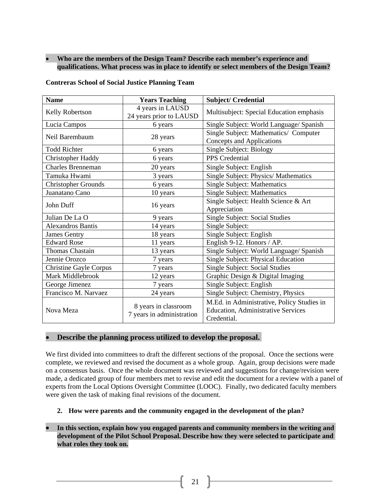#### **Who are the members of the Design Team? Describe each member's experience and qualifications. What process was in place to identify or select members of the Design Team?**

**Contreras School of Social Justice Planning Team** 

| <b>Name</b>                   | <b>Years Teaching</b>                             | <b>Subject/Credential</b>                                                                              |  |  |
|-------------------------------|---------------------------------------------------|--------------------------------------------------------------------------------------------------------|--|--|
| Kelly Robertson               | 4 years in LAUSD<br>24 years prior to LAUSD       | Multisubject: Special Education emphasis                                                               |  |  |
| Lucia Campos                  | 6 years                                           | Single Subject: World Language/ Spanish                                                                |  |  |
| Neil Barembaum                | 28 years                                          | Single Subject: Mathematics/ Computer<br>Concepts and Applications                                     |  |  |
| <b>Todd Richter</b>           | 6 years                                           | Single Subject: Biology                                                                                |  |  |
| <b>Christopher Haddy</b>      | 6 years                                           | PPS Credential                                                                                         |  |  |
| <b>Charles Brenneman</b>      | 20 years                                          | Single Subject: English                                                                                |  |  |
| Tamuka Hwami                  | 3 years                                           | Single Subject: Physics/ Mathematics                                                                   |  |  |
| <b>Christopher Grounds</b>    | 6 years                                           | <b>Single Subject: Mathematics</b>                                                                     |  |  |
| Juanatano Cano                | 10 years                                          | <b>Single Subject: Mathematics</b>                                                                     |  |  |
| John Duff                     | 16 years                                          | Single Subject: Health Science & Art<br>Appreciation                                                   |  |  |
| Julian De La O                | 9 years                                           | <b>Single Subject: Social Studies</b>                                                                  |  |  |
| <b>Alexandros Bantis</b>      | 14 years                                          | Single Subject:                                                                                        |  |  |
| <b>James Gentry</b>           | 18 years                                          | Single Subject: English                                                                                |  |  |
| <b>Edward Rose</b>            | 11 years                                          | English 9-12. Honors / AP.                                                                             |  |  |
| <b>Thomas Chastain</b>        | 13 years                                          | Single Subject: World Language/ Spanish                                                                |  |  |
| Jennie Orozco                 | 7 years                                           | Single Subject: Physical Education                                                                     |  |  |
| <b>Christine Gayle Corpus</b> | 7 years                                           | Single Subject: Social Studies                                                                         |  |  |
| Mark Middlebrook              | 12 years                                          | Graphic Design & Digital Imaging                                                                       |  |  |
| George Jimenez                | 7 years                                           | Single Subject: English                                                                                |  |  |
| Francisco M. Narvaez          | 24 years                                          | Single Subject: Chemistry, Physics                                                                     |  |  |
| Nova Meza                     | 8 years in classroom<br>7 years in administration | M.Ed. in Administrative, Policy Studies in<br><b>Education, Administrative Services</b><br>Credential. |  |  |

#### **Describe the planning process utilized to develop the proposal.**

We first divided into committees to draft the different sections of the proposal. Once the sections were complete, we reviewed and revised the document as a whole group. Again, group decisions were made on a consensus basis. Once the whole document was reviewed and suggestions for change/revision were made, a dedicated group of four members met to revise and edit the document for a review with a panel of experts from the Local Options Oversight Committee (LOOC). Finally, two dedicated faculty members were given the task of making final revisions of the document.

**2. How were parents and the community engaged in the development of the plan?** 

 **In this section, explain how you engaged parents and community members in the writing and development of the Pilot School Proposal. Describe how they were selected to participate and what roles they took on.**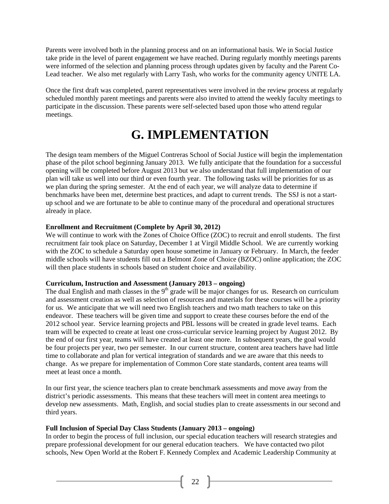Parents were involved both in the planning process and on an informational basis. We in Social Justice take pride in the level of parent engagement we have reached. During regularly monthly meetings parents were informed of the selection and planning process through updates given by faculty and the Parent Co-Lead teacher. We also met regularly with Larry Tash, who works for the community agency UNITE LA.

Once the first draft was completed, parent representatives were involved in the review process at regularly scheduled monthly parent meetings and parents were also invited to attend the weekly faculty meetings to participate in the discussion. These parents were self-selected based upon those who attend regular meetings.

## **G. IMPLEMENTATION**

The design team members of the Miguel Contreras School of Social Justice will begin the implementation phase of the pilot school beginning January 2013. We fully anticipate that the foundation for a successful opening will be completed before August 2013 but we also understand that full implementation of our plan will take us well into our third or even fourth year. The following tasks will be priorities for us as we plan during the spring semester. At the end of each year, we will analyze data to determine if benchmarks have been met, determine best practices, and adapt to current trends. The SSJ is not a startup school and we are fortunate to be able to continue many of the procedural and operational structures already in place.

#### **Enrollment and Recruitment (Complete by April 30, 2012)**

We will continue to work with the Zones of Choice Office (ZOC) to recruit and enroll students. The first recruitment fair took place on Saturday, December 1 at Virgil Middle School. We are currently working with the ZOC to schedule a Saturday open house sometime in January or February. In March, the feeder middle schools will have students fill out a Belmont Zone of Choice (BZOC) online application; the ZOC will then place students in schools based on student choice and availability.

#### **Curriculum, Instruction and Assessment (January 2013 – ongoing)**

The dual English and math classes in the  $9<sup>th</sup>$  grade will be major changes for us. Research on curriculum and assessment creation as well as selection of resources and materials for these courses will be a priority for us. We anticipate that we will need two English teachers and two math teachers to take on this endeavor. These teachers will be given time and support to create these courses before the end of the 2012 school year. Service learning projects and PBL lessons will be created in grade level teams. Each team will be expected to create at least one cross-curricular service learning project by August 2012. By the end of our first year, teams will have created at least one more. In subsequent years, the goal would be four projects per year, two per semester. In our current structure, content area teachers have had little time to collaborate and plan for vertical integration of standards and we are aware that this needs to change. As we prepare for implementation of Common Core state standards, content area teams will meet at least once a month.

In our first year, the science teachers plan to create benchmark assessments and move away from the district's periodic assessments. This means that these teachers will meet in content area meetings to develop new assessments. Math, English, and social studies plan to create assessments in our second and third years.

#### **Full Inclusion of Special Day Class Students (January 2013 – ongoing)**

In order to begin the process of full inclusion, our special education teachers will research strategies and prepare professional development for our general education teachers. We have contacted two pilot schools, New Open World at the Robert F. Kennedy Complex and Academic Leadership Community at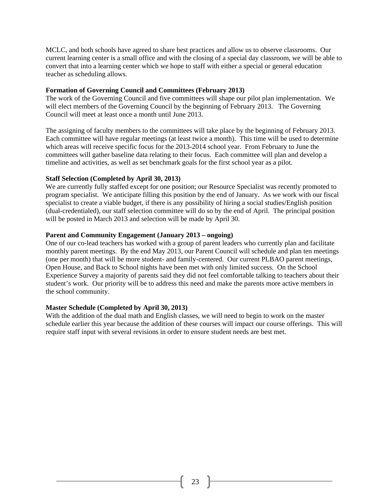MCLC, and both schools have agreed to share best practices and allow us to observe classrooms. Our current learning center is a small office and with the closing of a special day classroom, we will be able to convert that into a learning center which we hope to staff with either a special or general education teacher as scheduling allows.

#### **Formation of Governing Council and Committees (February 2013)**

The work of the Governing Council and five committees will shape our pilot plan implementation. We will elect members of the Governing Council by the beginning of February 2013. The Governing Council will meet at least once a month until June 2013.

The assigning of faculty members to the committees will take place by the beginning of February 2013. Each committee will have regular meetings (at least twice a month). This time will be used to determine which areas will receive specific focus for the 2013-2014 school year. From February to June the committees will gather baseline data relating to their focus. Each committee will plan and develop a timeline and activities, as well as set benchmark goals for the first school year as a pilot.

#### **Staff Selection (Completed by April 30, 2013)**

We are currently fully staffed except for one position; our Resource Specialist was recently promoted to program specialist. We anticipate filling this position by the end of January. As we work with our fiscal specialist to create a viable budget, if there is any possibility of hiring a social studies/English position (dual-credentialed), our staff selection committee will do so by the end of April. The principal position will be posted in March 2013 and selection will be made by April 30.

#### **Parent and Community Engagement (January 2013 – ongoing)**

One of our co-lead teachers has worked with a group of parent leaders who currently plan and facilitate monthly parent meetings. By the end May 2013, our Parent Council will schedule and plan ten meetings (one per month) that will be more student- and family-centered. Our current PLBAO parent meetings, Open House, and Back to School nights have been met with only limited success. On the School Experience Survey a majority of parents said they did not feel comfortable talking to teachers about their student's work. Our priority will be to address this need and make the parents more active members in the school community.

#### **Master Schedule (Completed by April 30, 2013)**

With the addition of the dual math and English classes, we will need to begin to work on the master schedule earlier this year because the addition of these courses will impact our course offerings. This will require staff input with several revisions in order to ensure student needs are best met.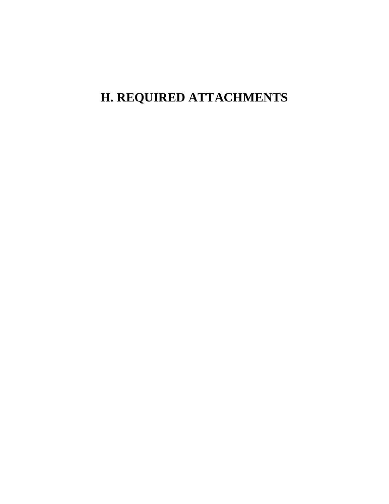## **H. REQUIRED ATTACHMENTS**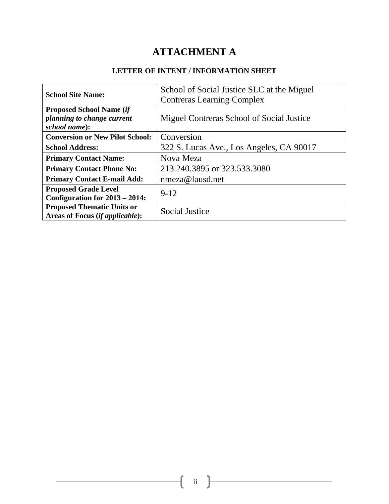## **ATTACHMENT A**

#### **LETTER OF INTENT / INFORMATION SHEET**

| <b>School Site Name:</b>               | School of Social Justice SLC at the Miguel |  |  |  |  |
|----------------------------------------|--------------------------------------------|--|--|--|--|
|                                        | <b>Contreras Learning Complex</b>          |  |  |  |  |
| <b>Proposed School Name (if</b>        |                                            |  |  |  |  |
| planning to change current             | Miguel Contreras School of Social Justice  |  |  |  |  |
| school name):                          |                                            |  |  |  |  |
| <b>Conversion or New Pilot School:</b> | Conversion                                 |  |  |  |  |
| <b>School Address:</b>                 | 322 S. Lucas Ave., Los Angeles, CA 90017   |  |  |  |  |
| <b>Primary Contact Name:</b>           | Nova Meza                                  |  |  |  |  |
| <b>Primary Contact Phone No:</b>       | 213.240.3895 or 323.533.3080               |  |  |  |  |
| <b>Primary Contact E-mail Add:</b>     | nmeza@lausd.net                            |  |  |  |  |
| <b>Proposed Grade Level</b>            | $9 - 12$                                   |  |  |  |  |
| Configuration for $2013 - 2014$ :      |                                            |  |  |  |  |
| <b>Proposed Thematic Units or</b>      | Social Justice                             |  |  |  |  |
| Areas of Focus (if applicable):        |                                            |  |  |  |  |

ii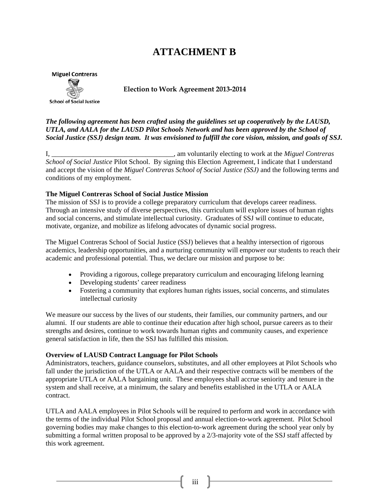### **ATTACHMENT B**



**Election to Work Agreement 2013-2014**

*The following agreement has been crafted using the guidelines set up cooperatively by the LAUSD, UTLA, and AALA for the LAUSD Pilot Schools Network and has been approved by the School of Social Justice (SSJ) design team. It was envisioned to fulfill the core vision, mission, and goals of SSJ.*

I, \_\_\_\_\_\_\_\_\_\_\_\_\_\_\_\_\_\_\_\_\_\_\_\_\_\_\_\_\_\_\_\_\_\_\_, am voluntarily electing to work at the *Miguel Contreras School of Social Justice* Pilot School. By signing this Election Agreement, I indicate that I understand and accept the vision of the *Miguel Contreras School of Social Justice (SSJ)* and the following terms and conditions of my employment.

#### **The Miguel Contreras School of Social Justice Mission**

The mission of SSJ is to provide a college preparatory curriculum that develops career readiness. Through an intensive study of diverse perspectives, this curriculum will explore issues of human rights and social concerns, and stimulate intellectual curiosity. Graduates of SSJ will continue to educate, motivate, organize, and mobilize as lifelong advocates of dynamic social progress.

The Miguel Contreras School of Social Justice (SSJ) believes that a healthy intersection of rigorous academics, leadership opportunities, and a nurturing community will empower our students to reach their academic and professional potential. Thus, we declare our mission and purpose to be:

- Providing a rigorous, college preparatory curriculum and encouraging lifelong learning
- Developing students' career readiness
- Fostering a community that explores human rights issues, social concerns, and stimulates intellectual curiosity

We measure our success by the lives of our students, their families, our community partners, and our alumni. If our students are able to continue their education after high school, pursue careers as to their strengths and desires, continue to work towards human rights and community causes, and experience general satisfaction in life, then the SSJ has fulfilled this mission.

#### **Overview of LAUSD Contract Language for Pilot Schools**

Administrators, teachers, guidance counselors, substitutes, and all other employees at Pilot Schools who fall under the jurisdiction of the UTLA or AALA and their respective contracts will be members of the appropriate UTLA or AALA bargaining unit. These employees shall accrue seniority and tenure in the system and shall receive, at a minimum, the salary and benefits established in the UTLA or AALA contract.

UTLA and AALA employees in Pilot Schools will be required to perform and work in accordance with the terms of the individual Pilot School proposal and annual election-to-work agreement. Pilot School governing bodies may make changes to this election-to-work agreement during the school year only by submitting a formal written proposal to be approved by a 2/3-majority vote of the SSJ staff affected by this work agreement.

iii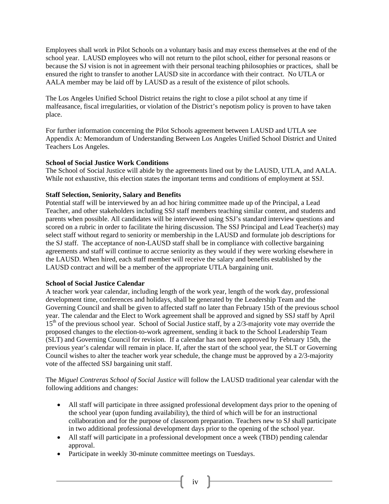Employees shall work in Pilot Schools on a voluntary basis and may excess themselves at the end of the school year. LAUSD employees who will not return to the pilot school, either for personal reasons or because the SJ vision is not in agreement with their personal teaching philosophies or practices, shall be ensured the right to transfer to another LAUSD site in accordance with their contract. No UTLA or AALA member may be laid off by LAUSD as a result of the existence of pilot schools.

The Los Angeles Unified School District retains the right to close a pilot school at any time if malfeasance, fiscal irregularities, or violation of the District's nepotism policy is proven to have taken place.

For further information concerning the Pilot Schools agreement between LAUSD and UTLA see Appendix A: Memorandum of Understanding Between Los Angeles Unified School District and United Teachers Los Angeles.

#### **School of Social Justice Work Conditions**

The School of Social Justice will abide by the agreements lined out by the LAUSD, UTLA, and AALA. While not exhaustive, this election states the important terms and conditions of employment at SSJ.

#### **Staff Selection, Seniority, Salary and Benefits**

Potential staff will be interviewed by an ad hoc hiring committee made up of the Principal, a Lead Teacher, and other stakeholders including SSJ staff members teaching similar content, and students and parents when possible. All candidates will be interviewed using SSJ's standard interview questions and scored on a rubric in order to facilitate the hiring discussion. The SSJ Principal and Lead Teacher(s) may select staff without regard to seniority or membership in the LAUSD and formulate job descriptions for the SJ staff. The acceptance of non-LAUSD staff shall be in compliance with collective bargaining agreements and staff will continue to accrue seniority as they would if they were working elsewhere in the LAUSD. When hired, each staff member will receive the salary and benefits established by the LAUSD contract and will be a member of the appropriate UTLA bargaining unit.

#### **School of Social Justice Calendar**

A teacher work year calendar, including length of the work year, length of the work day, professional development time, conferences and holidays, shall be generated by the Leadership Team and the Governing Council and shall be given to affected staff no later than February 15th of the previous school year. The calendar and the Elect to Work agreement shall be approved and signed by SSJ staff by April  $15<sup>th</sup>$  of the previous school year. School of Social Justice staff, by a 2/3-majority vote may override the proposed changes to the election-to-work agreement, sending it back to the School Leadership Team (SLT) and Governing Council for revision. If a calendar has not been approved by February 15th, the previous year's calendar will remain in place. If, after the start of the school year, the SLT or Governing Council wishes to alter the teacher work year schedule, the change must be approved by a 2/3-majority vote of the affected SSJ bargaining unit staff.

The *Miguel Contreras School of Social Justice* will follow the LAUSD traditional year calendar with the following additions and changes:

- All staff will participate in three assigned professional development days prior to the opening of the school year (upon funding availability), the third of which will be for an instructional collaboration and for the purpose of classroom preparation. Teachers new to SJ shall participate in two additional professional development days prior to the opening of the school year.
- All staff will participate in a professional development once a week (TBD) pending calendar approval.

 $\begin{bmatrix} &iv & \end{bmatrix}$ 

Participate in weekly 30-minute committee meetings on Tuesdays.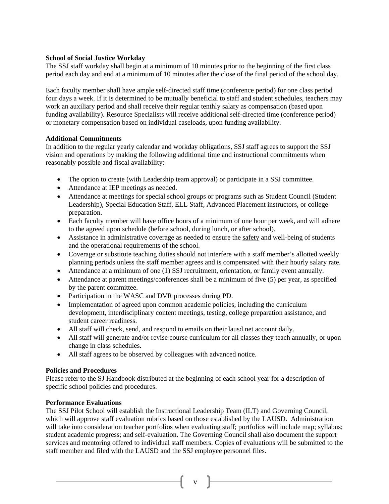#### **School of Social Justice Workday**

The SSJ staff workday shall begin at a minimum of 10 minutes prior to the beginning of the first class period each day and end at a minimum of 10 minutes after the close of the final period of the school day.

Each faculty member shall have ample self-directed staff time (conference period) for one class period four days a week. If it is determined to be mutually beneficial to staff and student schedules, teachers may work an auxiliary period and shall receive their regular tenthly salary as compensation (based upon funding availability). Resource Specialists will receive additional self-directed time (conference period) or monetary compensation based on individual caseloads, upon funding availability.

#### **Additional Commitments**

In addition to the regular yearly calendar and workday obligations, SSJ staff agrees to support the SSJ vision and operations by making the following additional time and instructional commitments when reasonably possible and fiscal availability:

- The option to create (with Leadership team approval) or participate in a SSJ committee.
- Attendance at IEP meetings as needed.
- Attendance at meetings for special school groups or programs such as Student Council (Student Leadership), Special Education Staff, ELL Staff, Advanced Placement instructors, or college preparation.
- Each faculty member will have office hours of a minimum of one hour per week, and will adhere to the agreed upon schedule (before school, during lunch, or after school).
- Assistance in administrative coverage as needed to ensure the safety and well-being of students and the operational requirements of the school.
- Coverage or substitute teaching duties should not interfere with a staff member's allotted weekly planning periods unless the staff member agrees and is compensated with their hourly salary rate.
- Attendance at a minimum of one (1) SSJ recruitment, orientation, or family event annually.
- Attendance at parent meetings/conferences shall be a minimum of five (5) per year, as specified by the parent committee.
- Participation in the WASC and DVR processes during PD.
- Implementation of agreed upon common academic policies, including the curriculum development, interdisciplinary content meetings, testing, college preparation assistance, and student career readiness.
- All staff will check, send, and respond to emails on their lausd.net account daily.
- All staff will generate and/or revise course curriculum for all classes they teach annually, or upon change in class schedules.
- All staff agrees to be observed by colleagues with advanced notice.

#### **Policies and Procedures**

Please refer to the SJ Handbook distributed at the beginning of each school year for a description of specific school policies and procedures.

#### **Performance Evaluations**

The SSJ Pilot School will establish the Instructional Leadership Team (ILT) and Governing Council, which will approve staff evaluation rubrics based on those established by the LAUSD. Administration will take into consideration teacher portfolios when evaluating staff; portfolios will include map; syllabus; student academic progress; and self-evaluation. The Governing Council shall also document the support services and mentoring offered to individual staff members. Copies of evaluations will be submitted to the staff member and filed with the LAUSD and the SSJ employee personnel files.

v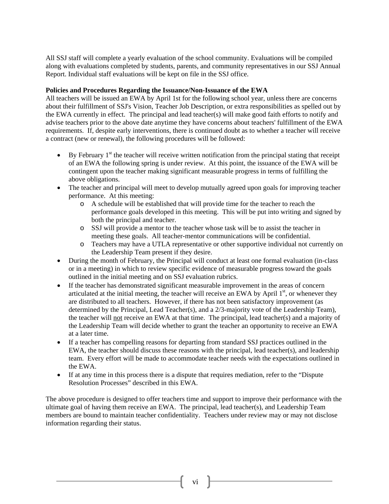All SSJ staff will complete a yearly evaluation of the school community. Evaluations will be compiled along with evaluations completed by students, parents, and community representatives in our SSJ Annual Report. Individual staff evaluations will be kept on file in the SSJ office.

#### **Policies and Procedures Regarding the Issuance/Non-Issuance of the EWA**

All teachers will be issued an EWA by April 1st for the following school year, unless there are concerns about their fulfillment of SSJ's Vision, Teacher Job Description, or extra responsibilities as spelled out by the EWA currently in effect. The principal and lead teacher(s) will make good faith efforts to notify and advise teachers prior to the above date anytime they have concerns about teachers' fulfillment of the EWA requirements. If, despite early interventions, there is continued doubt as to whether a teacher will receive a contract (new or renewal), the following procedures will be followed:

- $\bullet$  By February 1<sup>st</sup> the teacher will receive written notification from the principal stating that receipt of an EWA the following spring is under review. At this point, the issuance of the EWA will be contingent upon the teacher making significant measurable progress in terms of fulfilling the above obligations.
- The teacher and principal will meet to develop mutually agreed upon goals for improving teacher performance. At this meeting:
	- o A schedule will be established that will provide time for the teacher to reach the performance goals developed in this meeting. This will be put into writing and signed by both the principal and teacher.
	- o SSJ will provide a mentor to the teacher whose task will be to assist the teacher in meeting these goals. All teacher-mentor communications will be confidential.
	- o Teachers may have a UTLA representative or other supportive individual not currently on the Leadership Team present if they desire.
- During the month of February, the Principal will conduct at least one formal evaluation (in-class or in a meeting) in which to review specific evidence of measurable progress toward the goals outlined in the initial meeting and on SSJ evaluation rubrics.
- If the teacher has demonstrated significant measurable improvement in the areas of concern articulated at the initial meeting, the teacher will receive an EWA by April  $1<sup>st</sup>$ , or whenever they are distributed to all teachers. However, if there has not been satisfactory improvement (as determined by the Principal, Lead Teacher(s), and a 2/3-majority vote of the Leadership Team), the teacher will not receive an EWA at that time. The principal, lead teacher(s) and a majority of the Leadership Team will decide whether to grant the teacher an opportunity to receive an EWA at a later time.
- If a teacher has compelling reasons for departing from standard SSJ practices outlined in the EWA, the teacher should discuss these reasons with the principal, lead teacher(s), and leadership team. Every effort will be made to accommodate teacher needs with the expectations outlined in the EWA.
- If at any time in this process there is a dispute that requires mediation, refer to the "Dispute Resolution Processes" described in this EWA.

The above procedure is designed to offer teachers time and support to improve their performance with the ultimate goal of having them receive an EWA. The principal, lead teacher(s), and Leadership Team members are bound to maintain teacher confidentiality. Teachers under review may or may not disclose information regarding their status.

 $\overline{\mathbf{v}}$   $\mathbf{v}$   $\mathbf{v}$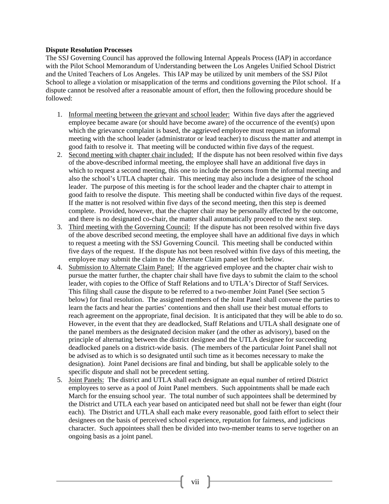#### **Dispute Resolution Processes**

The SSJ Governing Council has approved the following Internal Appeals Process (IAP) in accordance with the Pilot School Memorandum of Understanding between the Los Angeles Unified School District and the United Teachers of Los Angeles. This IAP may be utilized by unit members of the SSJ Pilot School to allege a violation or misapplication of the terms and conditions governing the Pilot school. If a dispute cannot be resolved after a reasonable amount of effort, then the following procedure should be followed:

- 1. Informal meeting between the grievant and school leader: Within five days after the aggrieved employee became aware (or should have become aware) of the occurrence of the event(s) upon which the grievance complaint is based, the aggrieved employee must request an informal meeting with the school leader (administrator or lead teacher) to discuss the matter and attempt in good faith to resolve it. That meeting will be conducted within five days of the request.
- 2. Second meeting with chapter chair included: If the dispute has not been resolved within five days of the above-described informal meeting, the employee shall have an additional five days in which to request a second meeting, this one to include the persons from the informal meeting and also the school's UTLA chapter chair. This meeting may also include a designee of the school leader. The purpose of this meeting is for the school leader and the chapter chair to attempt in good faith to resolve the dispute. This meeting shall be conducted within five days of the request. If the matter is not resolved within five days of the second meeting, then this step is deemed complete. Provided, however, that the chapter chair may be personally affected by the outcome, and there is no designated co-chair, the matter shall automatically proceed to the next step.
- 3. Third meeting with the Governing Council: If the dispute has not been resolved within five days of the above described second meeting, the employee shall have an additional five days in which to request a meeting with the SSJ Governing Council. This meeting shall be conducted within five days of the request. If the dispute has not been resolved within five days of this meeting, the employee may submit the claim to the Alternate Claim panel set forth below.
- 4. Submission to Alternate Claim Panel: If the aggrieved employee and the chapter chair wish to pursue the matter further, the chapter chair shall have five days to submit the claim to the school leader, with copies to the Office of Staff Relations and to UTLA's Director of Staff Services. This filing shall cause the dispute to be referred to a two-member Joint Panel (See section 5 below) for final resolution. The assigned members of the Joint Panel shall convene the parties to learn the facts and hear the parties' contentions and then shall use their best mutual efforts to reach agreement on the appropriate, final decision. It is anticipated that they will be able to do so. However, in the event that they are deadlocked, Staff Relations and UTLA shall designate one of the panel members as the designated decision maker (and the other as advisory), based on the principle of alternating between the district designee and the UTLA designee for succeeding deadlocked panels on a district-wide basis. (The members of the particular Joint Panel shall not be advised as to which is so designated until such time as it becomes necessary to make the designation). Joint Panel decisions are final and binding, but shall be applicable solely to the specific dispute and shall not be precedent setting.
- 5. Joint Panels: The district and UTLA shall each designate an equal number of retired District employees to serve as a pool of Joint Panel members. Such appointments shall be made each March for the ensuing school year. The total number of such appointees shall be determined by the District and UTLA each year based on anticipated need but shall not be fewer than eight (four each). The District and UTLA shall each make every reasonable, good faith effort to select their designees on the basis of perceived school experience, reputation for fairness, and judicious character. Such appointees shall then be divided into two-member teams to serve together on an ongoing basis as a joint panel.

 $vii$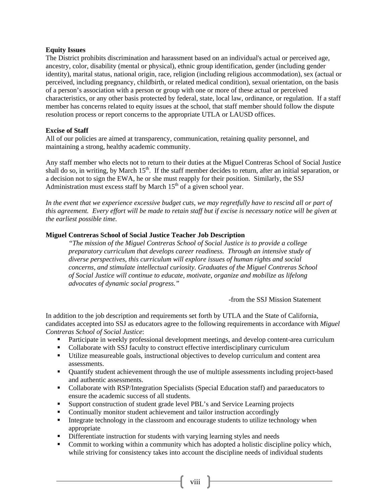#### **Equity Issues**

The District prohibits discrimination and harassment based on an individual's actual or perceived age, ancestry, color, disability (mental or physical), ethnic group identification, gender (including gender identity), marital status, national origin, race, religion (including religious accommodation), sex (actual or perceived, including pregnancy, childbirth, or related medical condition), sexual orientation, on the basis of a person's association with a person or group with one or more of these actual or perceived characteristics, or any other basis protected by federal, state, local law, ordinance, or regulation. If a staff member has concerns related to equity issues at the school, that staff member should follow the dispute resolution process or report concerns to the appropriate UTLA or LAUSD offices.

#### **Excise of Staff**

All of our policies are aimed at transparency, communication, retaining quality personnel, and maintaining a strong, healthy academic community.

Any staff member who elects not to return to their duties at the Miguel Contreras School of Social Justice shall do so, in writing, by March  $15<sup>th</sup>$ . If the staff member decides to return, after an initial separation, or a decision not to sign the EWA, he or she must reapply for their position. Similarly, the SSJ Administration must excess staff by March  $15<sup>th</sup>$  of a given school year.

*In the event that we experience excessive budget cuts, we may regretfully have to rescind all or part of this agreement. Every effort will be made to retain staff but if excise is necessary notice will be given at the earliest possible time.* 

#### **Miguel Contreras School of Social Justice Teacher Job Description**

*"The mission of the Miguel Contreras School of Social Justice is to provide a college preparatory curriculum that develops career readiness. Through an intensive study of diverse perspectives, this curriculum will explore issues of human rights and social concerns, and stimulate intellectual curiosity. Graduates of the Miguel Contreras School of Social Justice will continue to educate, motivate, organize and mobilize as lifelong advocates of dynamic social progress."* 

*-*from the SSJ Mission Statement

In addition to the job description and requirements set forth by UTLA and the State of California, candidates accepted into SSJ as educators agree to the following requirements in accordance with *Miguel Contreras School of Social Justice*:

- **Participate in weekly professional development meetings, and develop content-area curriculum**
- Collaborate with SSJ faculty to construct effective interdisciplinary curriculum
- Utilize measureable goals, instructional objectives to develop curriculum and content area assessments.
- Quantify student achievement through the use of multiple assessments including project-based and authentic assessments.
- Collaborate with RSP/Integration Specialists (Special Education staff) and paraeducators to ensure the academic success of all students.
- **Support construction of student grade level PBL's and Service Learning projects**
- Continually monitor student achievement and tailor instruction accordingly
- Integrate technology in the classroom and encourage students to utilize technology when appropriate
- Differentiate instruction for students with varying learning styles and needs
- Commit to working within a community which has adopted a holistic discipline policy which, while striving for consistency takes into account the discipline needs of individual students

 $\begin{bmatrix} &\text{viii} & \end{bmatrix}$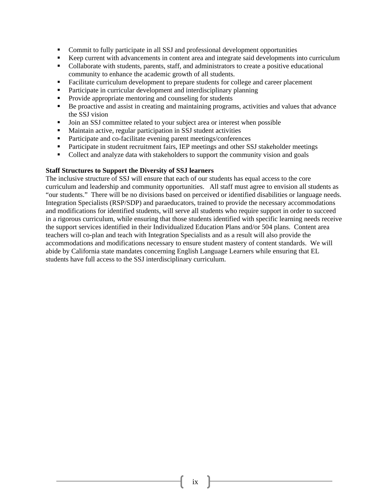- Commit to fully participate in all SSJ and professional development opportunities
- Keep current with advancements in content area and integrate said developments into curriculum
- Collaborate with students, parents, staff, and administrators to create a positive educational community to enhance the academic growth of all students.
- Facilitate curriculum development to prepare students for college and career placement
- **Participate in curricular development and interdisciplinary planning**
- Provide appropriate mentoring and counseling for students
- Be proactive and assist in creating and maintaining programs, activities and values that advance the SSJ vision
- Join an SSJ committee related to your subject area or interest when possible
- Maintain active, regular participation in SSJ student activities
- Participate and co-facilitate evening parent meetings/conferences
- Participate in student recruitment fairs, IEP meetings and other SSJ stakeholder meetings
- Collect and analyze data with stakeholders to support the community vision and goals

#### **Staff Structures to Support the Diversity of SSJ learners**

The inclusive structure of SSJ will ensure that each of our students has equal access to the core curriculum and leadership and community opportunities. All staff must agree to envision all students as "our students." There will be no divisions based on perceived or identified disabilities or language needs. Integration Specialists (RSP/SDP) and paraeducators, trained to provide the necessary accommodations and modifications for identified students, will serve all students who require support in order to succeed in a rigorous curriculum, while ensuring that those students identified with specific learning needs receive the support services identified in their Individualized Education Plans and/or 504 plans. Content area teachers will co-plan and teach with Integration Specialists and as a result will also provide the accommodations and modifications necessary to ensure student mastery of content standards. We will abide by California state mandates concerning English Language Learners while ensuring that EL students have full access to the SSJ interdisciplinary curriculum.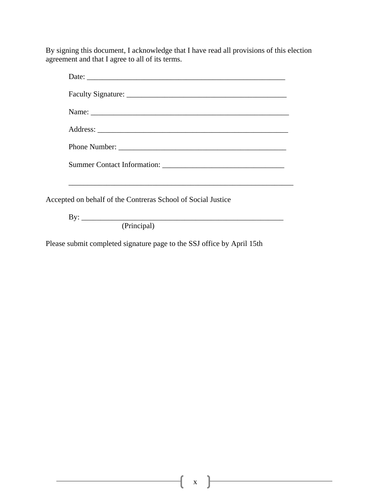By signing this document, I acknowledge that I have read all provisions of this election agreement and that I agree to all of its terms.

| Accepted on behalf of the Contreras School of Social Justice |
|--------------------------------------------------------------|
| By: $\overline{\phantom{a}}$                                 |
| (Principal)                                                  |

Please submit completed signature page to the SSJ office by April 15th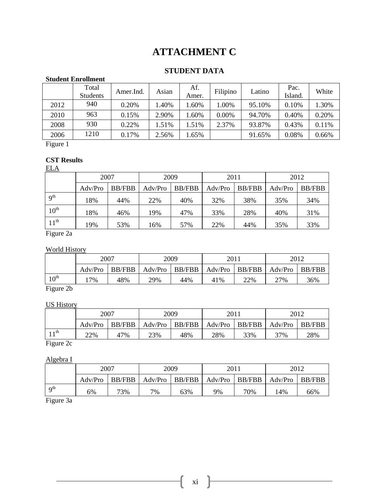## **ATTACHMENT C**

#### **STUDENT DATA**

#### **Student Enrollment**

|      | Total<br><b>Students</b> | Amer.Ind. | Asian | Af.<br>Amer. | Filipino | Latino | Pac.<br>Island. | White |
|------|--------------------------|-----------|-------|--------------|----------|--------|-----------------|-------|
| 2012 | 940                      | 0.20%     | 1.40% | .60%         | $.00\%$  | 95.10% | 0.10%           | 1.30% |
| 2010 | 963                      | 0.15%     | 2.90% | .60%         | $0.00\%$ | 94.70% | 0.40%           | 0.20% |
| 2008 | 930                      | 0.22%     | 1.51% | .51%         | 2.37%    | 93.87% | 0.43%           | 0.11% |
| 2006 | 1210                     | 0.17%     | 2.56% | .65%         |          | 91.65% | 0.08%           | 0.66% |

Figure 1

#### **CST Results**

ELA

|                  | 2007    |               | 2009    |               | 2011    |               | 2012    |               |
|------------------|---------|---------------|---------|---------------|---------|---------------|---------|---------------|
|                  | Adv/Pro | <b>BB/FBB</b> | Adv/Pro | <b>BB/FBB</b> | Adv/Pro | <b>BB/FBB</b> | Adv/Pro | <b>BB/FBB</b> |
| 9 <sup>th</sup>  | 18%     | 44%           | 22%     | 40%           | 32%     | 38%           | 35%     | 34%           |
| $10^{\text{th}}$ | 18%     | 46%           | 19%     | 47%           | 33%     | 28%           | 40%     | 31%           |
| $11^{\text{th}}$ | 19%     | 53%           | 16%     | 57%           | 22%     | 44%           | 35%     | 33%           |

Figure 2a

#### World History

|            | 2007    |        |     | 2009 |                                     | 2011 |         | 2012   |  |
|------------|---------|--------|-----|------|-------------------------------------|------|---------|--------|--|
|            | Adv/Pro | BB/FBB |     |      | Adv/Pro   BB/FBB   Adv/Pro   BB/FBB |      | Adv/Pro | BB/FBB |  |
| $10^{th}$  | $17\%$  | 48%    | 29% | 44%  | 41%                                 | 22%  | 27%     | 36%    |  |
| --<br>$-1$ |         |        |     |      |                                     |      |         |        |  |

Figure 2b

#### US History

|            | 2007    |        | 2009 |     | 2011                                |     | 2012    |        |
|------------|---------|--------|------|-----|-------------------------------------|-----|---------|--------|
|            | Adv/Pro | BB/FBB |      |     | Adv/Pro   BB/FBB   Adv/Pro   BB/FBB |     | Adv/Pro | BB/FBB |
| $\cdot$ th | 22%     | 47%    | 23%  | 48% | 28%                                 | 33% | 37%     | 28%    |

Figure 2c

#### Algebra I

|                        |         | 2007          |                                               | 2009 |    | 201 |     | 2012   |  |
|------------------------|---------|---------------|-----------------------------------------------|------|----|-----|-----|--------|--|
|                        | Adv/Pro | <b>BB/FBB</b> | Adv/Pro   BB/FBB   Adv/Pro   BB/FBB   Adv/Pro |      |    |     |     | BB/FBB |  |
| $\Omega$ <sup>th</sup> | 6%      | 73%           | 7%                                            | 63%  | 9% | 70% | 14% | 66%    |  |

Figure 3a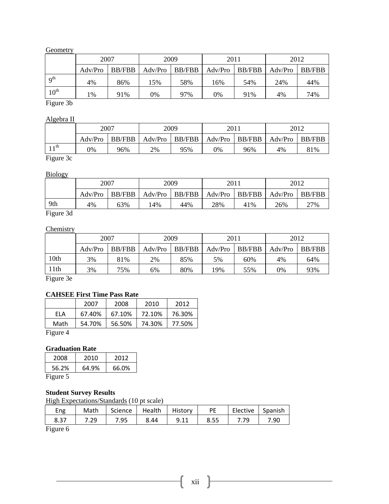#### Geometry

|                  | 2007    |               |     | 2009             |         | 2011          |         | 2012          |  |
|------------------|---------|---------------|-----|------------------|---------|---------------|---------|---------------|--|
|                  | Adv/Pro | <b>BB/FBB</b> |     | $Adv/Pro$ BB/FBB | Adv/Pro | <b>BB/FBB</b> | Adv/Pro | <b>BB/FBB</b> |  |
| $q^{th}$         | 4%      | 86%           | 15% | 58%              | 16%     | 54%           | 24%     | 44%           |  |
| $10^{\text{th}}$ | $1\%$   | 91%           | 0%  | 97%              | 0%      | 91%           | 4%      | 74%           |  |

Figure 3b

#### Algebra II

|              | 2007<br>$BB/FBB$   Adv/Pro   BB/FBB   Adv/Pro   BB/FBB  <br>Adv/Pro |     | 2009 |     | 2011 |     | 2012             |     |
|--------------|---------------------------------------------------------------------|-----|------|-----|------|-----|------------------|-----|
|              |                                                                     |     |      |     |      |     | $Adv/Pro$ BB/FBB |     |
| $\cdot$ 1 th | 9%                                                                  | 96% | 2%   | 95% | 0%   | 96% | 4%               | 81% |

Figure 3c

#### Biology

| ___                                  |                           |     |       |     |                                             |     |         |               |
|--------------------------------------|---------------------------|-----|-------|-----|---------------------------------------------|-----|---------|---------------|
|                                      | 2007<br>BB/FBB<br>Adv/Pro |     | 2009  |     | 2011                                        |     | 2012    |               |
|                                      |                           |     |       |     | $Adv/Pro$   $BB/FBB$   $Adv/Pro$   $BB/FBB$ |     | Adv/Pro | <b>BB/FBB</b> |
| 9th                                  | 4%                        | 63% | $4\%$ | 44% | 28%                                         | 41% | 26%     | 27%           |
| $\overline{\phantom{a}}$<br>$\sim$ 1 |                           |     |       |     |                                             |     |         |               |

Figure 3d

#### **Chemistry**

|      | 2007    |        | 2009    |               | 2011    |               | 2012    |               |
|------|---------|--------|---------|---------------|---------|---------------|---------|---------------|
|      | Adv/Pro | BB/FBB | Adv/Pro | <b>BB/FBB</b> | Adv/Pro | <b>BB/FBB</b> | Adv/Pro | <b>BB/FBB</b> |
| 10th | 3%      | 81%    | 2%      | 85%           | 5%      | 60%           | 4%      | 64%           |
| 11th | 3%      | 75%    | 6%      | 80%           | .9%     | 55%           | 0%      | 93%           |

Figure 3e

#### **CAHSEE First Time Pass Rate**

|          | 2007   | 2008   | 2010   | 2012   |
|----------|--------|--------|--------|--------|
| FLA      | 67.40% | 67.10% | 72.10% | 76.30% |
| Math     | 54.70% | 56.50% | 74.30% | 77.50% |
| Figure 4 |        |        |        |        |

#### **Graduation Rate**

| 2008     | 2010  | 2012  |
|----------|-------|-------|
| 56.2%    | 64.9% | 66.0% |
| Fioure ' |       |       |

Figure 5

#### **Student Survey Results**

High Expectations/Standards (10 pt scale)

| Eng  | Math | Science | Health | History | PE   | Elective | Spanish |
|------|------|---------|--------|---------|------|----------|---------|
| 8.37 | 7.29 | 7.95    | 8.44   | 9.11    | 8.55 | 7 79     | 7.90    |
|      |      |         |        |         |      |          |         |

Figure 6

xii }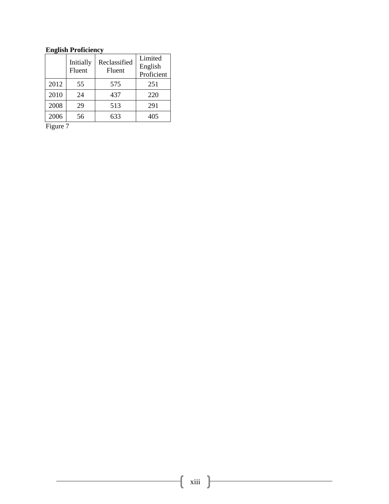#### **English Proficiency**

|      | Initially<br>Fluent | Reclassified<br>Fluent | Limited<br>English<br>Proficient |
|------|---------------------|------------------------|----------------------------------|
| 2012 | 55                  | 575                    | 251                              |
| 2010 | 24                  | 437                    | 220                              |
| 2008 | 29                  | 513                    | 291                              |
| 2006 | 56                  | 633                    | 405                              |

Figure 7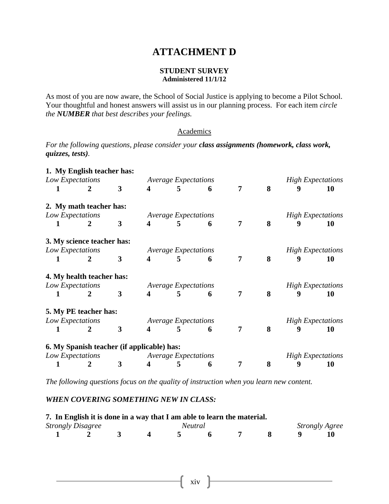#### **ATTACHMENT D**

#### **STUDENT SURVEY Administered 11/1/12**

As most of you are now aware, the School of Social Justice is applying to become a Pilot School. Your thoughtful and honest answers will assist us in our planning process. For each item *circle the NUMBER that best describes your feelings.*

#### **Academics**

*For the following questions, please consider your class assignments (homework, class work, quizzes, tests).* 

|   | 1. My English teacher has:                 |              |                         |                             |   |                |   |   |                          |
|---|--------------------------------------------|--------------|-------------------------|-----------------------------|---|----------------|---|---|--------------------------|
|   | Low Expectations                           |              |                         | <b>Average Expectations</b> |   |                |   |   | <b>High Expectations</b> |
| 1 | 2                                          | 3            | 4                       | 5                           | 6 | 7 <sup>1</sup> | 8 | 9 | 10                       |
|   | 2. My math teacher has:                    |              |                         |                             |   |                |   |   |                          |
|   | Low Expectations                           |              |                         | <b>Average Expectations</b> |   |                |   |   | <b>High Expectations</b> |
| 1 | $\mathbf{2}$                               | $\mathbf{3}$ | 4                       | 5                           | 6 | 7              | 8 | 9 | 10                       |
|   | 3. My science teacher has:                 |              |                         |                             |   |                |   |   |                          |
|   | Low Expectations                           |              |                         | <b>Average Expectations</b> |   |                |   |   | <b>High Expectations</b> |
| 1 | 2                                          | $\mathbf{3}$ | 4                       | 5                           | 6 | $\overline{7}$ | 8 | 9 | 10                       |
|   | 4. My health teacher has:                  |              |                         |                             |   |                |   |   |                          |
|   | Low Expectations                           |              |                         | <b>Average Expectations</b> |   |                |   |   | <b>High Expectations</b> |
| 1 | $\overline{2}$                             | 3            | 4                       | 5                           | 6 | $\overline{7}$ | 8 | 9 | 10                       |
|   | 5. My PE teacher has:                      |              |                         |                             |   |                |   |   |                          |
|   | Low Expectations                           |              |                         | <b>Average Expectations</b> |   |                |   |   | <b>High Expectations</b> |
| 1 | $\overline{2}$                             | 3            | 4                       | 5                           | 6 | 7              | 8 | 9 | 10                       |
|   | 6. My Spanish teacher (if applicable) has: |              |                         |                             |   |                |   |   |                          |
|   | Low Expectations                           |              |                         | <b>Average Expectations</b> |   |                |   |   | <b>High Expectations</b> |
|   | 2                                          | 3            | $\overline{\mathbf{4}}$ | 5                           | 6 | 7              | 8 | 9 | 10                       |

*The following questions focus on the quality of instruction when you learn new content.* 

#### *WHEN COVERING SOMETHING NEW IN CLASS:*

| 7. In English it is done in a way that I am able to learn the material. |                          |  |  |                |  |  |  |  |                       |  |  |
|-------------------------------------------------------------------------|--------------------------|--|--|----------------|--|--|--|--|-----------------------|--|--|
|                                                                         | <b>Strongly Disagree</b> |  |  | <i>Neutral</i> |  |  |  |  | <b>Strongly Agree</b> |  |  |
|                                                                         |                          |  |  |                |  |  |  |  |                       |  |  |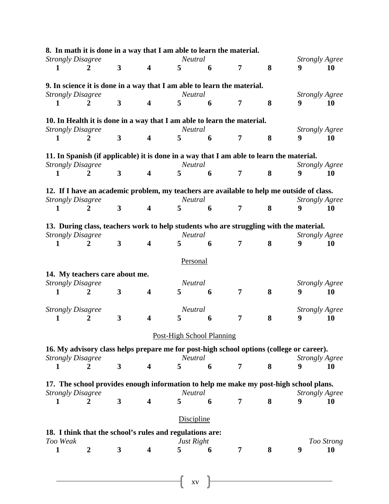| 8. In math it is done in a way that I am able to learn the material.                                               |                  |                         |                         |                                  |   |                |   |                            |                  |
|--------------------------------------------------------------------------------------------------------------------|------------------|-------------------------|-------------------------|----------------------------------|---|----------------|---|----------------------------|------------------|
| <b>Strongly Disagree</b><br>1                                                                                      | 2                | $\overline{\mathbf{3}}$ | $\overline{\mathbf{4}}$ | <b>Neutral</b><br>5              | 6 | $\overline{7}$ | 8 | <b>Strongly Agree</b><br>9 | 10               |
|                                                                                                                    |                  |                         |                         |                                  |   |                |   |                            |                  |
| 9. In science it is done in a way that I am able to learn the material.                                            |                  |                         |                         |                                  |   |                |   |                            |                  |
| <b>Strongly Disagree</b>                                                                                           |                  |                         |                         | <b>Neutral</b>                   |   |                |   | <b>Strongly Agree</b>      |                  |
| 1                                                                                                                  | 2                | $\overline{\mathbf{3}}$ | 4                       | 5                                | 6 | $\overline{7}$ | 8 | 9                          | 10               |
| 10. In Health it is done in a way that I am able to learn the material.                                            |                  |                         |                         |                                  |   |                |   |                            |                  |
| <b>Strongly Disagree</b>                                                                                           |                  |                         |                         | Neutral                          |   |                |   | <b>Strongly Agree</b>      |                  |
| 1                                                                                                                  | 2                | $\overline{\mathbf{3}}$ | 4                       | 5                                | 6 | 7              | 8 | 9                          | 10               |
| 11. In Spanish (if applicable) it is done in a way that I am able to learn the material.                           |                  |                         |                         |                                  |   |                |   |                            |                  |
| <b>Strongly Disagree</b>                                                                                           |                  |                         |                         | Neutral                          |   |                |   | <b>Strongly Agree</b>      |                  |
| 1                                                                                                                  | 2                | $\overline{\mathbf{3}}$ | $\boldsymbol{4}$        | 5                                | 6 | $\overline{7}$ | 8 | 9                          | 10               |
| 12. If I have an academic problem, my teachers are available to help me outside of class.                          |                  |                         |                         |                                  |   |                |   |                            |                  |
| <b>Strongly Disagree</b><br>1                                                                                      | 2                | $\overline{\mathbf{3}}$ | $\overline{\mathbf{4}}$ | <b>Neutral</b><br>5              | 6 | $\overline{7}$ | 8 | <b>Strongly Agree</b><br>9 | 10               |
|                                                                                                                    |                  |                         |                         |                                  |   |                |   |                            |                  |
| 13. During class, teachers work to help students who are struggling with the material.<br><b>Strongly Disagree</b> |                  |                         |                         | <b>Neutral</b>                   |   |                |   | <b>Strongly Agree</b>      |                  |
| 1                                                                                                                  | 2                | $\overline{\mathbf{3}}$ | 4                       | 5                                | 6 | $\overline{7}$ | 8 | 9                          | 10               |
|                                                                                                                    |                  |                         |                         | Personal                         |   |                |   |                            |                  |
|                                                                                                                    |                  |                         |                         |                                  |   |                |   |                            |                  |
| 14. My teachers care about me.<br><b>Strongly Disagree</b>                                                         |                  |                         |                         | <b>Neutral</b>                   |   |                |   | <b>Strongly Agree</b>      |                  |
| 1                                                                                                                  | 2                | 3                       | $\overline{\mathbf{4}}$ | 5                                | 6 | 7              | 8 | 9                          | 10               |
|                                                                                                                    |                  |                         |                         |                                  |   |                |   |                            |                  |
| <b>Strongly Disagree</b>                                                                                           |                  |                         |                         | <b>Neutral</b>                   |   |                |   | <b>Strongly Agree</b>      |                  |
| 1                                                                                                                  | 2                | 3                       | $\overline{\mathbf{4}}$ | 5                                | 6 | 7              | 8 | 9                          | 10               |
|                                                                                                                    |                  |                         |                         | <b>Post-High School Planning</b> |   |                |   |                            |                  |
| 16. My advisory class helps prepare me for post-high school options (college or career).                           |                  |                         |                         |                                  |   |                |   |                            |                  |
| <b>Strongly Disagree</b>                                                                                           |                  |                         |                         | Neutral                          |   |                |   | <b>Strongly Agree</b>      |                  |
| 1                                                                                                                  | 2                | $\mathbf{3}$            | 4                       | 5                                | 6 | $\overline{7}$ | 8 | 9                          | 10               |
| 17. The school provides enough information to help me make my post-high school plans.                              |                  |                         |                         | <b>Neutral</b>                   |   |                |   |                            |                  |
| <b>Strongly Disagree</b><br>1                                                                                      | 2                | $\overline{\mathbf{3}}$ | $\overline{\mathbf{4}}$ | 5                                | 6 | $\overline{7}$ | 8 | <b>Strongly Agree</b><br>9 | 10               |
|                                                                                                                    |                  |                         |                         |                                  |   |                |   |                            |                  |
|                                                                                                                    |                  |                         |                         | <b>Discipline</b>                |   |                |   |                            |                  |
| 18. I think that the school's rules and regulations are:                                                           |                  |                         |                         |                                  |   |                |   |                            |                  |
| Too Weak<br>1                                                                                                      | $\boldsymbol{2}$ | 3                       | 4                       | Just Right<br>5                  | 6 | 7              | 8 | 9                          | Too Strong<br>10 |
|                                                                                                                    |                  |                         |                         |                                  |   |                |   |                            |                  |

 $\left\{\begin{array}{c}\nxv\n\end{array}\right\}$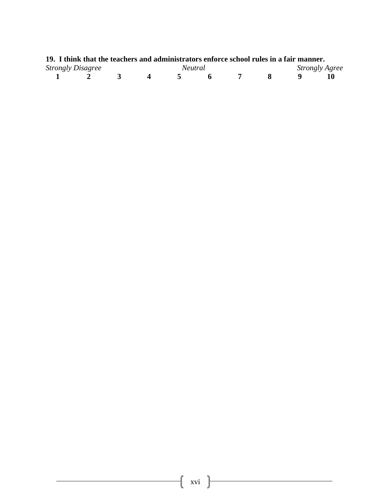| 19. I think that the teachers and administrators enforce school rules in a fair manner. |  |                |  |  |                       |
|-----------------------------------------------------------------------------------------|--|----------------|--|--|-----------------------|
| <b>Strongly Disagree</b>                                                                |  | <i>Neutral</i> |  |  | <b>Strongly Agree</b> |
|                                                                                         |  |                |  |  | 10                    |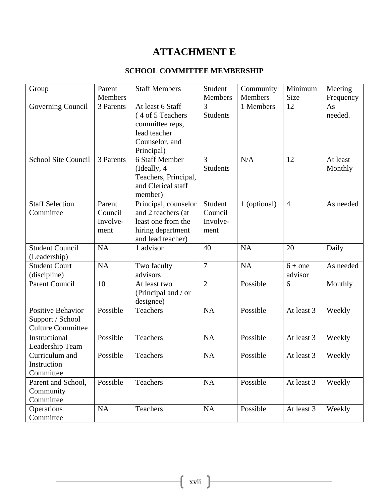## **ATTACHMENT E**

#### **SCHOOL COMMITTEE MEMBERSHIP**

| Group                      | Parent    | <b>Staff Members</b> | Student         | Community      | Minimum        | Meeting   |
|----------------------------|-----------|----------------------|-----------------|----------------|----------------|-----------|
|                            | Members   |                      | Members         | <b>Members</b> | Size           | Frequency |
| Governing Council          | 3 Parents | At least 6 Staff     | 3               | 1 Members      | 12             | As        |
|                            |           | (4 of 5 Teachers     | <b>Students</b> |                |                | needed.   |
|                            |           | committee reps,      |                 |                |                |           |
|                            |           | lead teacher         |                 |                |                |           |
|                            |           | Counselor, and       |                 |                |                |           |
|                            |           | Principal)           |                 |                |                |           |
| <b>School Site Council</b> | 3 Parents | 6 Staff Member       | 3               | N/A            | 12             | At least  |
|                            |           | (Ideally, 4)         | <b>Students</b> |                |                | Monthly   |
|                            |           | Teachers, Principal, |                 |                |                |           |
|                            |           | and Clerical staff   |                 |                |                |           |
|                            |           | member)              |                 |                |                |           |
| <b>Staff Selection</b>     |           |                      |                 |                |                |           |
|                            | Parent    | Principal, counselor | Student         | 1 (optional)   | $\overline{4}$ | As needed |
| Committee                  | Council   | and 2 teachers (at   | Council         |                |                |           |
|                            | Involve-  | least one from the   | Involve-        |                |                |           |
|                            | ment      | hiring department    | ment            |                |                |           |
|                            |           | and lead teacher)    |                 |                |                |           |
| <b>Student Council</b>     | <b>NA</b> | 1 advisor            | 40              | <b>NA</b>      | 20             | Daily     |
| (Leadership)               |           |                      |                 |                |                |           |
| <b>Student Court</b>       | <b>NA</b> | Two faculty          | 7               | <b>NA</b>      | $6 +$ one      | As needed |
| (discipline)               |           | advisors             |                 |                | advisor        |           |
| <b>Parent Council</b>      | 10        | At least two         | $\overline{2}$  | Possible       | 6              | Monthly   |
|                            |           | (Principal and / or  |                 |                |                |           |
|                            |           | designee)            |                 |                |                |           |
| Positive Behavior          | Possible  | Teachers             | <b>NA</b>       | Possible       | At least 3     | Weekly    |
| Support / School           |           |                      |                 |                |                |           |
| <b>Culture Committee</b>   |           |                      |                 |                |                |           |
| Instructional              | Possible  | Teachers             | <b>NA</b>       | Possible       | At least 3     | Weekly    |
| Leadership Team            |           |                      |                 |                |                |           |
| Curriculum and             | Possible  | Teachers             | <b>NA</b>       | Possible       | At least 3     | Weekly    |
| Instruction                |           |                      |                 |                |                |           |
| Committee                  |           |                      |                 |                |                |           |
|                            |           |                      |                 |                |                |           |
| Parent and School,         | Possible  | Teachers             | NA              | Possible       | At least 3     | Weekly    |
| Community                  |           |                      |                 |                |                |           |
| Committee                  |           |                      |                 |                |                |           |
| Operations                 | NA        | Teachers             | NA              | Possible       | At least 3     | Weekly    |
| Committee                  |           |                      |                 |                |                |           |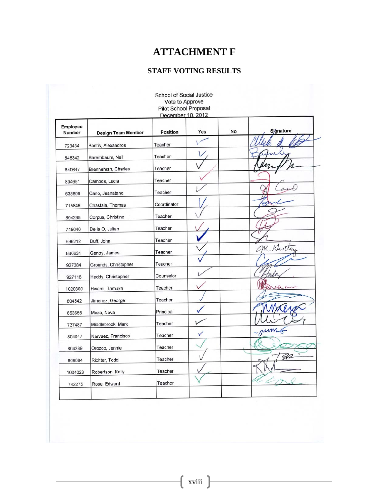## **ATTACHMENT F**

#### **STAFF VOTING RESULTS**

| <b>Pilot School Proposal</b><br>December 10, 2012 |                           |                 |     |    |           |
|---------------------------------------------------|---------------------------|-----------------|-----|----|-----------|
| Employee<br>Number                                | <b>Design Team Member</b> | <b>Position</b> | Yes | No | Sjgnature |
| 723434                                            | Bantis, Alexandros        | Teacher         |     |    |           |
| 548342                                            | Barembaum, Neil           | Teacher         |     |    |           |
| 649647                                            | Brenneman, Charles        | Teacher         |     |    |           |
| 804651                                            | Campos, Lucia             | Teacher         |     |    |           |
| 638809                                            | Cano, Juanatano           | Teacher         |     |    |           |
| 715846                                            | Chastain, Thomas          | Coordinator     |     |    |           |
| 804288                                            | Corpus, Christine         | Teacher         |     |    |           |
| 745040                                            | De la O, Julian           | Teacher         |     |    |           |
| 696212                                            | Duff, John                | Teacher         |     |    |           |
| 660631                                            | Gentry, James             | Teacher         |     |    | M Nentry  |
| 927384                                            | Grounds, Christopher      | Teacher         |     |    |           |
| 927118                                            | Haddy, Christopher        | Counselor       |     |    |           |
| 1020300                                           | Hwami, Tamuka             | Teacher         |     |    |           |
| 804542                                            | Jimenez, George           | Teacher         |     |    |           |
| 653655                                            | Meza, Nova                | Principal       |     |    |           |
| 737487                                            | Middlebrook, Mark         | Teacher         |     |    |           |
| 804047                                            | Narvaez, Francisco        | Teacher         | ✓   |    | umg       |
| 804289                                            | Orozco, Jennie            | Teacher         |     |    |           |
| 809084                                            | Richter, Todd             | Teacher         |     |    | <b>W</b>  |
| 1004023                                           | Robertson, Kelly          | Teacher         |     |    |           |
| 742275                                            | Rose, Edward              | Teacher         |     |    |           |